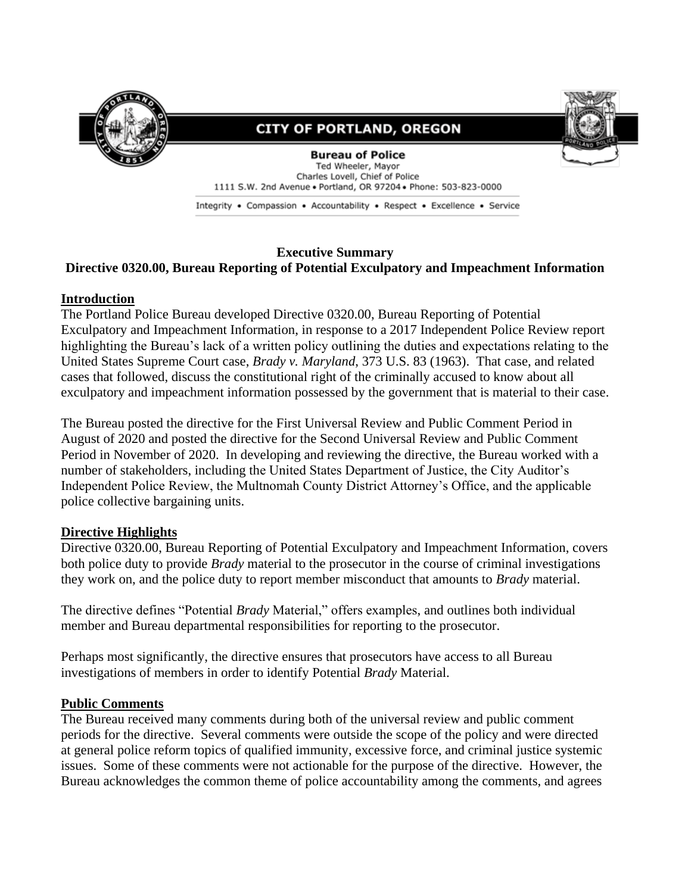

# **CITY OF PORTLAND, OREGON**



**Bureau of Police** Ted Wheeler, Mayor Charles Lovell, Chief of Police 1111 S.W. 2nd Avenue . Portland, OR 97204 . Phone: 503-823-0000

Integrity . Compassion . Accountability . Respect . Excellence . Service

### **Executive Summary Directive 0320.00, Bureau Reporting of Potential Exculpatory and Impeachment Information**

### **Introduction**

The Portland Police Bureau developed Directive 0320.00, Bureau Reporting of Potential Exculpatory and Impeachment Information, in response to a 2017 Independent Police Review report highlighting the Bureau's lack of a written policy outlining the duties and expectations relating to the United States Supreme Court case, *Brady v. Maryland*, 373 U.S. 83 (1963). That case, and related cases that followed, discuss the constitutional right of the criminally accused to know about all exculpatory and impeachment information possessed by the government that is material to their case.

The Bureau posted the directive for the First Universal Review and Public Comment Period in August of 2020 and posted the directive for the Second Universal Review and Public Comment Period in November of 2020. In developing and reviewing the directive, the Bureau worked with a number of stakeholders, including the United States Department of Justice, the City Auditor's Independent Police Review, the Multnomah County District Attorney's Office, and the applicable police collective bargaining units.

### **Directive Highlights**

Directive 0320.00, Bureau Reporting of Potential Exculpatory and Impeachment Information, covers both police duty to provide *Brady* material to the prosecutor in the course of criminal investigations they work on, and the police duty to report member misconduct that amounts to *Brady* material.

The directive defines "Potential *Brady* Material," offers examples, and outlines both individual member and Bureau departmental responsibilities for reporting to the prosecutor.

Perhaps most significantly, the directive ensures that prosecutors have access to all Bureau investigations of members in order to identify Potential *Brady* Material.

### **Public Comments**

The Bureau received many comments during both of the universal review and public comment periods for the directive. Several comments were outside the scope of the policy and were directed at general police reform topics of qualified immunity, excessive force, and criminal justice systemic issues. Some of these comments were not actionable for the purpose of the directive. However, the Bureau acknowledges the common theme of police accountability among the comments, and agrees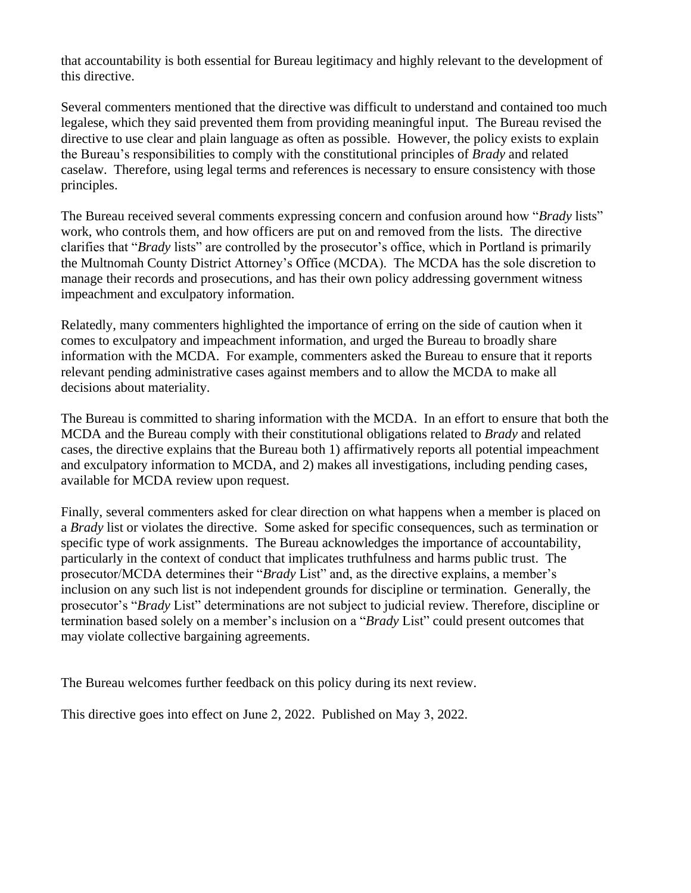that accountability is both essential for Bureau legitimacy and highly relevant to the development of this directive.

Several commenters mentioned that the directive was difficult to understand and contained too much legalese, which they said prevented them from providing meaningful input. The Bureau revised the directive to use clear and plain language as often as possible. However, the policy exists to explain the Bureau's responsibilities to comply with the constitutional principles of *Brady* and related caselaw. Therefore, using legal terms and references is necessary to ensure consistency with those principles.

The Bureau received several comments expressing concern and confusion around how "*Brady* lists" work, who controls them, and how officers are put on and removed from the lists. The directive clarifies that "*Brady* lists" are controlled by the prosecutor's office, which in Portland is primarily the Multnomah County District Attorney's Office (MCDA). The MCDA has the sole discretion to manage their records and prosecutions, and has their own policy addressing government witness impeachment and exculpatory information.

Relatedly, many commenters highlighted the importance of erring on the side of caution when it comes to exculpatory and impeachment information, and urged the Bureau to broadly share information with the MCDA. For example, commenters asked the Bureau to ensure that it reports relevant pending administrative cases against members and to allow the MCDA to make all decisions about materiality.

The Bureau is committed to sharing information with the MCDA. In an effort to ensure that both the MCDA and the Bureau comply with their constitutional obligations related to *Brady* and related cases, the directive explains that the Bureau both 1) affirmatively reports all potential impeachment and exculpatory information to MCDA, and 2) makes all investigations, including pending cases, available for MCDA review upon request.

Finally, several commenters asked for clear direction on what happens when a member is placed on a *Brady* list or violates the directive. Some asked for specific consequences, such as termination or specific type of work assignments. The Bureau acknowledges the importance of accountability, particularly in the context of conduct that implicates truthfulness and harms public trust. The prosecutor/MCDA determines their "*Brady* List" and, as the directive explains, a member's inclusion on any such list is not independent grounds for discipline or termination. Generally, the prosecutor's "*Brady* List" determinations are not subject to judicial review. Therefore, discipline or termination based solely on a member's inclusion on a "*Brady* List" could present outcomes that may violate collective bargaining agreements.

The Bureau welcomes further feedback on this policy during its next review.

This directive goes into effect on June 2, 2022. Published on May 3, 2022.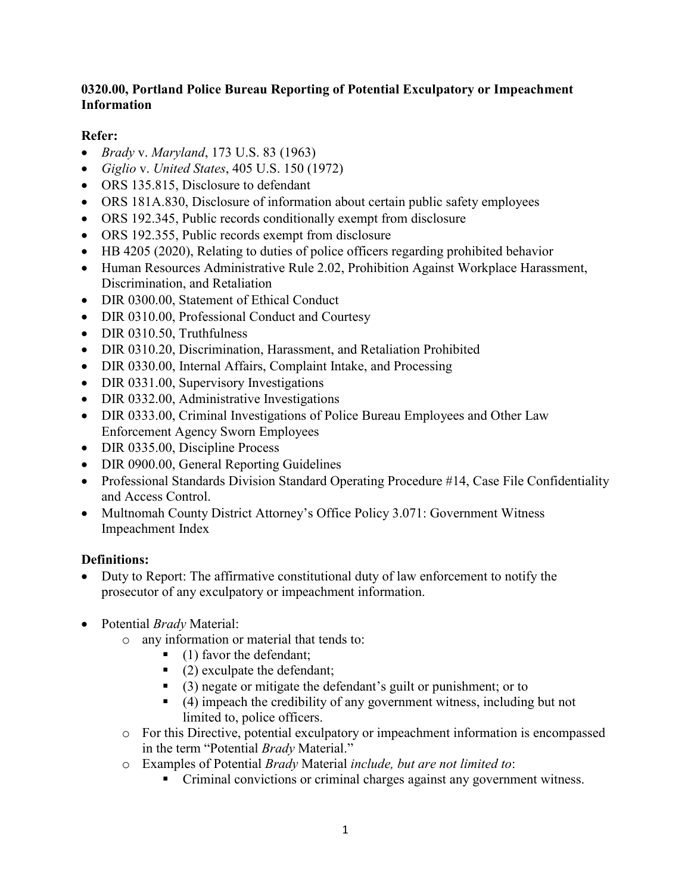## **0320.00, Portland Police Bureau Reporting of Potential Exculpatory or Impeachment Information**

## **Refer:**

- *Brady* v. *Maryland*, 173 U.S. 83 (1963)
- *Giglio* v. *United States*, 405 U.S. 150 (1972)
- ORS 135.815, Disclosure to defendant
- ORS 181A.830, Disclosure of information about certain public safety employees
- ORS 192.345, Public records conditionally exempt from disclosure
- ORS 192.355, Public records exempt from disclosure
- HB 4205 (2020), Relating to duties of police officers regarding prohibited behavior
- Human Resources Administrative Rule 2.02, Prohibition Against Workplace Harassment, Discrimination, and Retaliation
- DIR 0300.00, Statement of Ethical Conduct
- DIR 0310.00, Professional Conduct and Courtesy
- DIR 0310.50, Truthfulness
- DIR 0310.20, Discrimination, Harassment, and Retaliation Prohibited
- DIR 0330.00, Internal Affairs, Complaint Intake, and Processing
- DIR 0331.00, Supervisory Investigations
- DIR 0332.00, Administrative Investigations
- DIR 0333.00, Criminal Investigations of Police Bureau Employees and Other Law Enforcement Agency Sworn Employees
- DIR 0335.00, Discipline Process
- DIR 0900.00, General Reporting Guidelines
- Professional Standards Division Standard Operating Procedure #14, Case File Confidentiality and Access Control.
- Multnomah County District Attorney's Office Policy 3.071: Government Witness Impeachment Index

## **Definitions:**

- Duty to Report: The affirmative constitutional duty of law enforcement to notify the prosecutor of any exculpatory or impeachment information.
- Potential *Brady* Material:
	- o any information or material that tends to:
		- $\Box$  (1) favor the defendant;
		- $(2)$  exculpate the defendant;
		- (3) negate or mitigate the defendant's guilt or punishment; or to
		- $(4)$  impeach the credibility of any government witness, including but not limited to, police officers.
	- o For this Directive, potential exculpatory or impeachment information is encompassed in the term "Potential *Brady* Material."
	- o Examples of Potential *Brady* Material *include, but are not limited to*:
		- Criminal convictions or criminal charges against any government witness.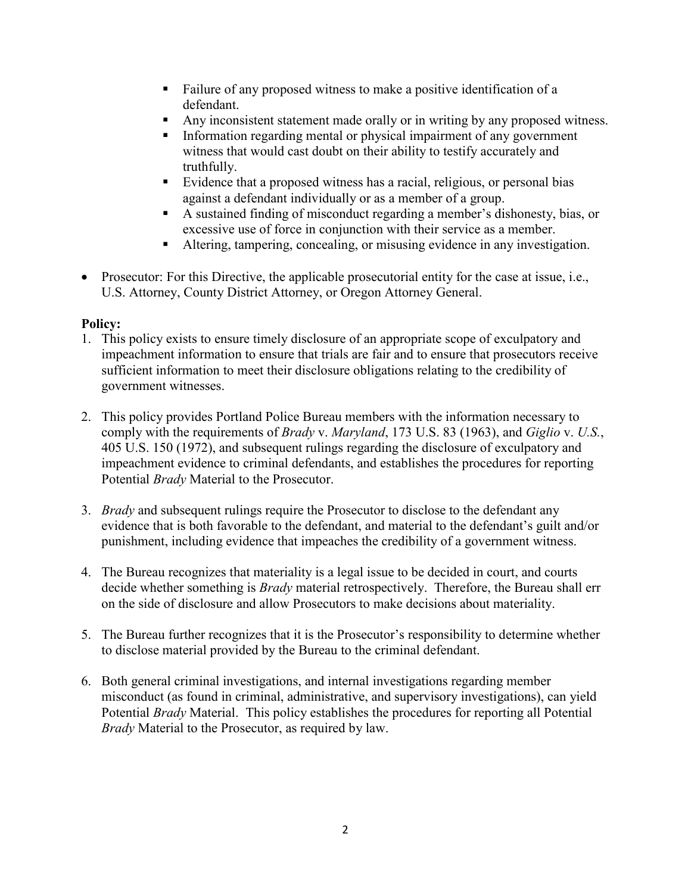- Failure of any proposed witness to make a positive identification of a defendant.
- Any inconsistent statement made orally or in writing by any proposed witness.
- Information regarding mental or physical impairment of any government witness that would cast doubt on their ability to testify accurately and truthfully.
- Evidence that a proposed witness has a racial, religious, or personal bias against a defendant individually or as a member of a group.
- A sustained finding of misconduct regarding a member's dishonesty, bias, or excessive use of force in conjunction with their service as a member.
- Altering, tampering, concealing, or misusing evidence in any investigation.
- Prosecutor: For this Directive, the applicable prosecutorial entity for the case at issue, i.e., U.S. Attorney, County District Attorney, or Oregon Attorney General.

## **Policy:**

- 1. This policy exists to ensure timely disclosure of an appropriate scope of exculpatory and impeachment information to ensure that trials are fair and to ensure that prosecutors receive sufficient information to meet their disclosure obligations relating to the credibility of government witnesses.
- 2. This policy provides Portland Police Bureau members with the information necessary to comply with the requirements of *Brady* v. *Maryland*, 173 U.S. 83 (1963), and *Giglio* v. *U.S.*, 405 U.S. 150 (1972), and subsequent rulings regarding the disclosure of exculpatory and impeachment evidence to criminal defendants, and establishes the procedures for reporting Potential *Brady* Material to the Prosecutor.
- 3. *Brady* and subsequent rulings require the Prosecutor to disclose to the defendant any evidence that is both favorable to the defendant, and material to the defendant's guilt and/or punishment, including evidence that impeaches the credibility of a government witness.
- 4. The Bureau recognizes that materiality is a legal issue to be decided in court, and courts decide whether something is *Brady* material retrospectively. Therefore, the Bureau shall err on the side of disclosure and allow Prosecutors to make decisions about materiality.
- 5. The Bureau further recognizes that it is the Prosecutor's responsibility to determine whether to disclose material provided by the Bureau to the criminal defendant.
- 6. Both general criminal investigations, and internal investigations regarding member misconduct (as found in criminal, administrative, and supervisory investigations), can yield Potential *Brady* Material. This policy establishes the procedures for reporting all Potential *Brady* Material to the Prosecutor, as required by law.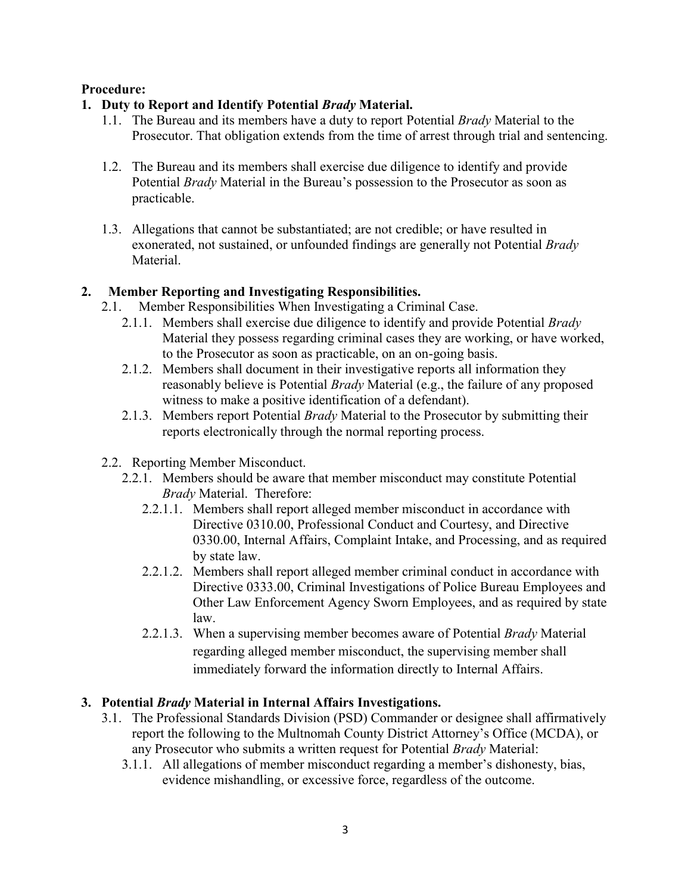## **Procedure:**

## **1. Duty to Report and Identify Potential** *Brady* **Material.**

- 1.1. The Bureau and its members have a duty to report Potential *Brady* Material to the Prosecutor. That obligation extends from the time of arrest through trial and sentencing.
- 1.2. The Bureau and its members shall exercise due diligence to identify and provide Potential *Brady* Material in the Bureau's possession to the Prosecutor as soon as practicable.
- 1.3. Allegations that cannot be substantiated; are not credible; or have resulted in exonerated, not sustained, or unfounded findings are generally not Potential *Brady* Material.

## **2. Member Reporting and Investigating Responsibilities.**

- 2.1. Member Responsibilities When Investigating a Criminal Case.
	- 2.1.1. Members shall exercise due diligence to identify and provide Potential *Brady* Material they possess regarding criminal cases they are working, or have worked, to the Prosecutor as soon as practicable, on an on-going basis.
	- 2.1.2. Members shall document in their investigative reports all information they reasonably believe is Potential *Brady* Material (e.g., the failure of any proposed witness to make a positive identification of a defendant).
	- 2.1.3. Members report Potential *Brady* Material to the Prosecutor by submitting their reports electronically through the normal reporting process.
- 2.2. Reporting Member Misconduct.
	- 2.2.1. Members should be aware that member misconduct may constitute Potential *Brady* Material. Therefore:
		- 2.2.1.1. Members shall report alleged member misconduct in accordance with Directive 0310.00, Professional Conduct and Courtesy, and Directive 0330.00, Internal Affairs, Complaint Intake, and Processing, and as required by state law.
		- 2.2.1.2. Members shall report alleged member criminal conduct in accordance with Directive 0333.00, Criminal Investigations of Police Bureau Employees and Other Law Enforcement Agency Sworn Employees, and as required by state law.
		- 2.2.1.3. When a supervising member becomes aware of Potential *Brady* Material regarding alleged member misconduct, the supervising member shall immediately forward the information directly to Internal Affairs.

## **3. Potential** *Brady* **Material in Internal Affairs Investigations.**

- 3.1. The Professional Standards Division (PSD) Commander or designee shall affirmatively report the following to the Multnomah County District Attorney's Office (MCDA), or any Prosecutor who submits a written request for Potential *Brady* Material:
	- 3.1.1. All allegations of member misconduct regarding a member's dishonesty, bias, evidence mishandling, or excessive force, regardless of the outcome.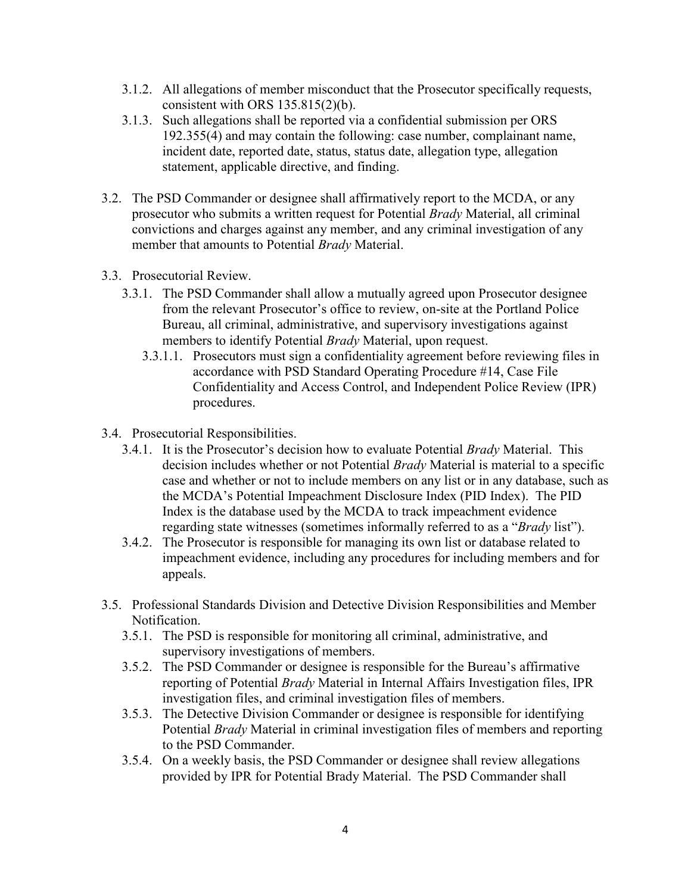- 3.1.2. All allegations of member misconduct that the Prosecutor specifically requests, consistent with ORS 135.815(2)(b).
- 3.1.3. Such allegations shall be reported via a confidential submission per ORS 192.355(4) and may contain the following: case number, complainant name, incident date, reported date, status, status date, allegation type, allegation statement, applicable directive, and finding.
- 3.2. The PSD Commander or designee shall affirmatively report to the MCDA, or any prosecutor who submits a written request for Potential *Brady* Material, all criminal convictions and charges against any member, and any criminal investigation of any member that amounts to Potential *Brady* Material.
- 3.3. Prosecutorial Review.
	- 3.3.1. The PSD Commander shall allow a mutually agreed upon Prosecutor designee from the relevant Prosecutor's office to review, on-site at the Portland Police Bureau, all criminal, administrative, and supervisory investigations against members to identify Potential *Brady* Material, upon request.
		- 3.3.1.1. Prosecutors must sign a confidentiality agreement before reviewing files in accordance with PSD Standard Operating Procedure #14, Case File Confidentiality and Access Control, and Independent Police Review (IPR) procedures.
- 3.4. Prosecutorial Responsibilities.
	- 3.4.1. It is the Prosecutor's decision how to evaluate Potential *Brady* Material. This decision includes whether or not Potential *Brady* Material is material to a specific case and whether or not to include members on any list or in any database, such as the MCDA's Potential Impeachment Disclosure Index (PID Index). The PID Index is the database used by the MCDA to track impeachment evidence regarding state witnesses (sometimes informally referred to as a "*Brady* list").
	- 3.4.2. The Prosecutor is responsible for managing its own list or database related to impeachment evidence, including any procedures for including members and for appeals.
- 3.5. Professional Standards Division and Detective Division Responsibilities and Member Notification.
	- 3.5.1. The PSD is responsible for monitoring all criminal, administrative, and supervisory investigations of members.
	- 3.5.2. The PSD Commander or designee is responsible for the Bureau's affirmative reporting of Potential *Brady* Material in Internal Affairs Investigation files, IPR investigation files, and criminal investigation files of members.
	- 3.5.3. The Detective Division Commander or designee is responsible for identifying Potential *Brady* Material in criminal investigation files of members and reporting to the PSD Commander.
	- 3.5.4. On a weekly basis, the PSD Commander or designee shall review allegations provided by IPR for Potential Brady Material. The PSD Commander shall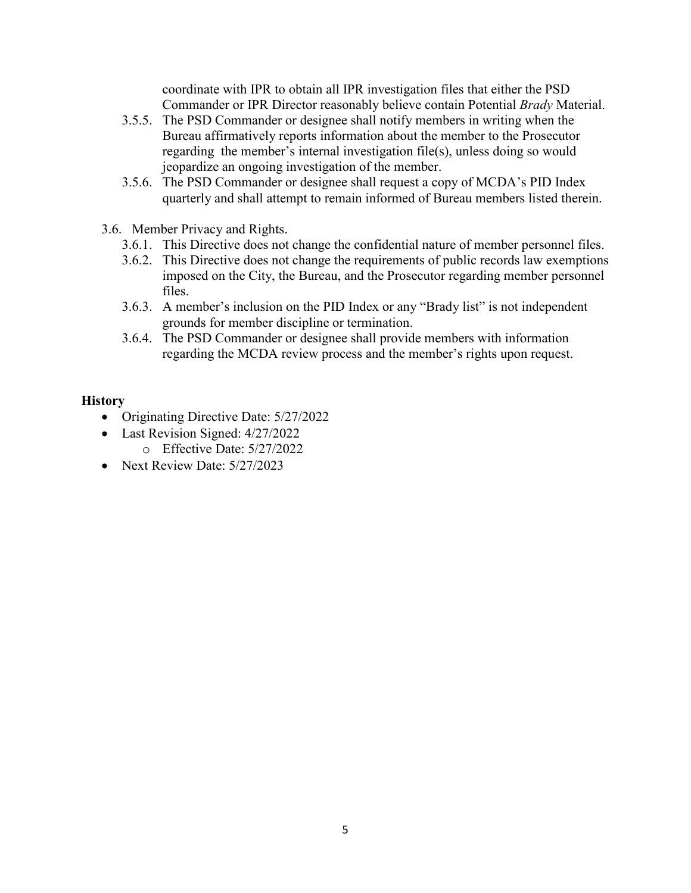coordinate with IPR to obtain all IPR investigation files that either the PSD Commander or IPR Director reasonably believe contain Potential *Brady* Material.

- 3.5.5. The PSD Commander or designee shall notify members in writing when the Bureau affirmatively reports information about the member to the Prosecutor regarding the member's internal investigation file(s), unless doing so would jeopardize an ongoing investigation of the member.
- 3.5.6. The PSD Commander or designee shall request a copy of MCDA's PID Index quarterly and shall attempt to remain informed of Bureau members listed therein.
- 3.6. Member Privacy and Rights.
	- 3.6.1. This Directive does not change the confidential nature of member personnel files.
	- 3.6.2. This Directive does not change the requirements of public records law exemptions imposed on the City, the Bureau, and the Prosecutor regarding member personnel files.
	- 3.6.3. A member's inclusion on the PID Index or any "Brady list" is not independent grounds for member discipline or termination.
	- 3.6.4. The PSD Commander or designee shall provide members with information regarding the MCDA review process and the member's rights upon request.

### **History**

- Originating Directive Date: 5/27/2022
- Last Revision Signed: 4/27/2022
	- o Effective Date: 5/27/2022
- Next Review Date: 5/27/2023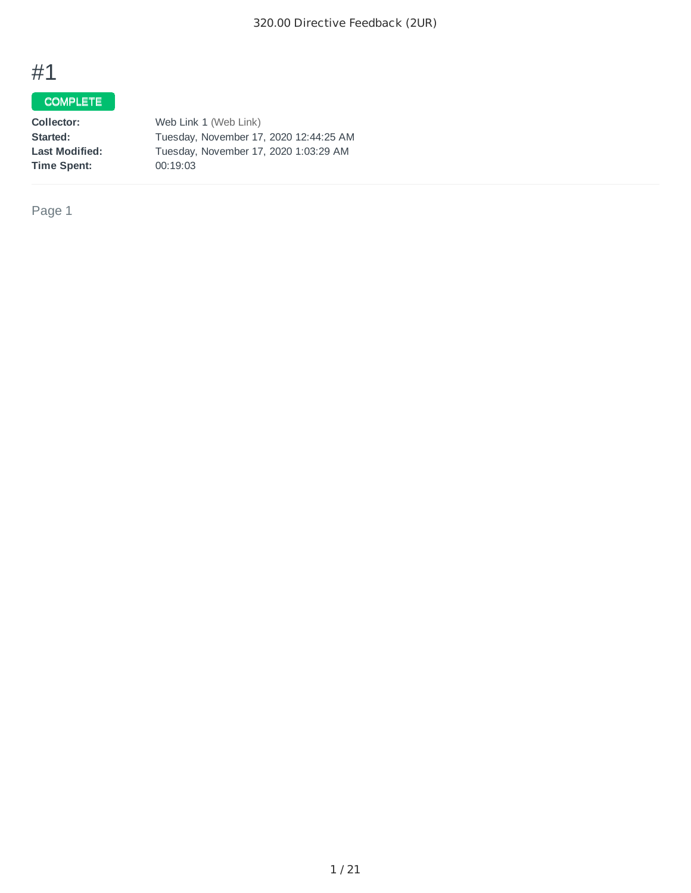# COMPLETE

| Tuesday, November 17, 2020 12:44:25 AM |
|----------------------------------------|
|                                        |
|                                        |
|                                        |

Page 1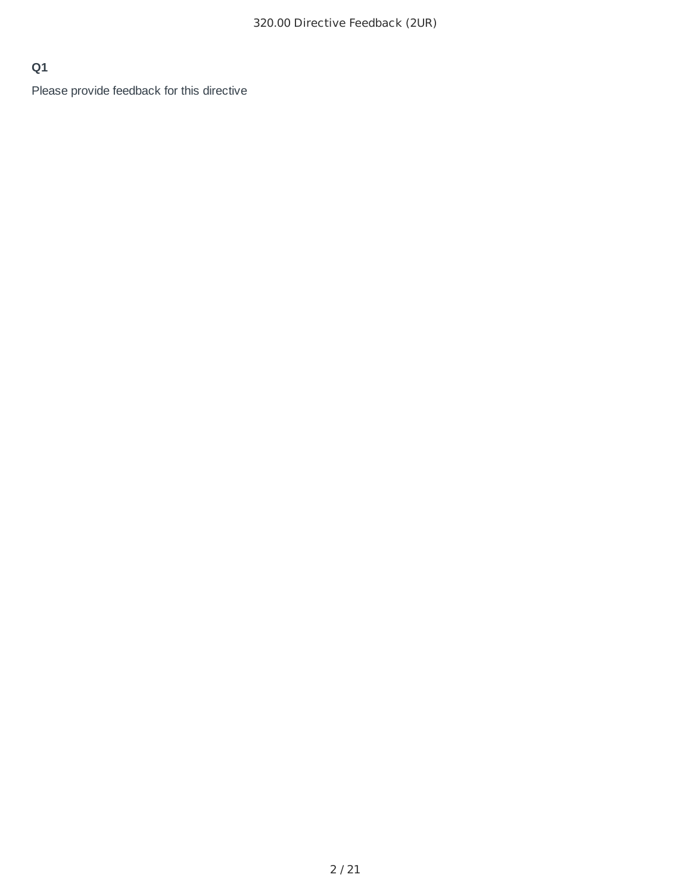# **Q1**

Please provide feedback for this directive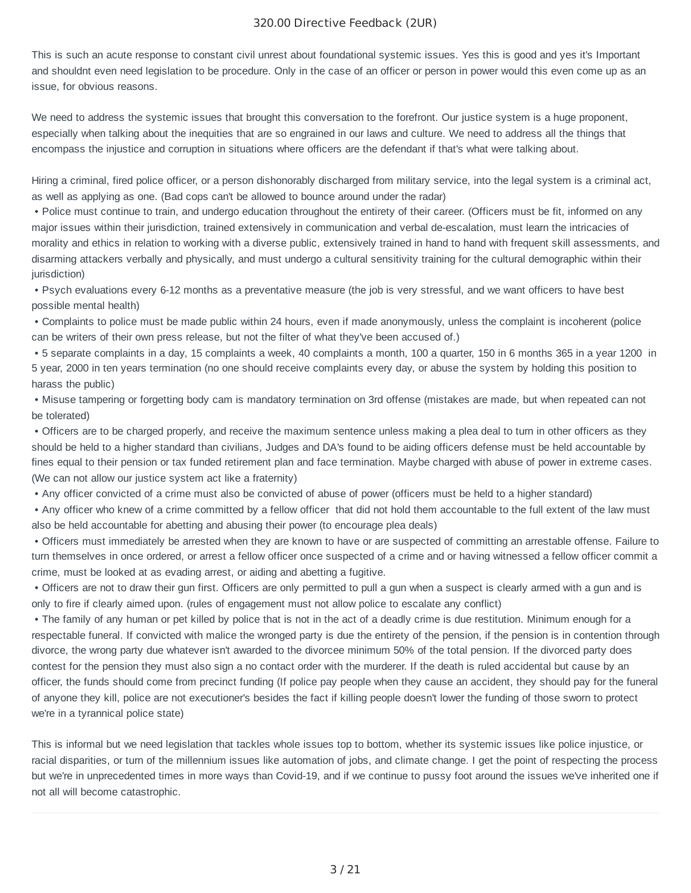### 320.00 Directive Feedback (2UR)

This is such an acute response to constant civil unrest about foundational systemic issues. Yes this is good and yes it's Important and shouldnt even need legislation to be procedure. Only in the case of an officer or person in power would this even come up as an issue, for obvious reasons.

We need to address the systemic issues that brought this conversation to the forefront. Our justice system is a huge proponent, especially when talking about the inequities that are so engrained in our laws and culture. We need to address all the things that encompass the injustice and corruption in situations where officers are the defendant if that's what were talking about.

Hiring a criminal, fired police officer, or a person dishonorably discharged from military service, into the legal system is a criminal act, as well as applying as one. (Bad cops can't be allowed to bounce around under the radar)

• Police must continue to train, and undergo education throughout the entirety of their career. (Officers must be fit, informed on any major issues within their jurisdiction, trained extensively in communication and verbal de-escalation, must learn the intricacies of morality and ethics in relation to working with a diverse public, extensively trained in hand to hand with frequent skill assessments, and disarming attackers verbally and physically, and must undergo a cultural sensitivity training for the cultural demographic within their jurisdiction)

• Psych evaluations every 6-12 months as a preventative measure (the job is very stressful, and we want officers to have best possible mental health)

• Complaints to police must be made public within 24 hours, even if made anonymously, unless the complaint is incoherent (police can be writers of their own press release, but not the filter of what they've been accused of.)

• 5 separate complaints in a day, 15 complaints a week, 40 complaints a month, 100 a quarter, 150 in 6 months 365 in a year 1200 in 5 year, 2000 in ten years termination (no one should receive complaints every day, or abuse the system by holding this position to harass the public)

• Misuse tampering or forgetting body cam is mandatory termination on 3rd offense (mistakes are made, but when repeated can not be tolerated)

• Officers are to be charged properly, and receive the maximum sentence unless making a plea deal to turn in other officers as they should be held to a higher standard than civilians, Judges and DA's found to be aiding officers defense must be held accountable by fines equal to their pension or tax funded retirement plan and face termination. Maybe charged with abuse of power in extreme cases. (We can not allow our justice system act like a fraternity)

• Any officer convicted of a crime must also be convicted of abuse of power (officers must be held to a higher standard)

• Any officer who knew of a crime committed by a fellow officer that did not hold them accountable to the full extent of the law must also be held accountable for abetting and abusing their power (to encourage plea deals)

• Officers must immediately be arrested when they are known to have or are suspected of committing an arrestable offense. Failure to turn themselves in once ordered, or arrest a fellow officer once suspected of a crime and or having witnessed a fellow officer commit a crime, must be looked at as evading arrest, or aiding and abetting a fugitive.

• Officers are not to draw their gun first. Officers are only permitted to pull a gun when a suspect is clearly armed with a gun and is only to fire if clearly aimed upon. (rules of engagement must not allow police to escalate any conflict)

• The family of any human or pet killed by police that is not in the act of a deadly crime is due restitution. Minimum enough for a respectable funeral. If convicted with malice the wronged party is due the entirety of the pension, if the pension is in contention through divorce, the wrong party due whatever isn't awarded to the divorcee minimum 50% of the total pension. If the divorced party does contest for the pension they must also sign a no contact order with the murderer. If the death is ruled accidental but cause by an officer, the funds should come from precinct funding (If police pay people when they cause an accident, they should pay for the funeral of anyone they kill, police are not executioner's besides the fact if killing people doesn't lower the funding of those sworn to protect we're in a tyrannical police state)

This is informal but we need legislation that tackles whole issues top to bottom, whether its systemic issues like police injustice, or racial disparities, or turn of the millennium issues like automation of jobs, and climate change. I get the point of respecting the process but we're in unprecedented times in more ways than Covid-19, and if we continue to pussy foot around the issues we've inherited one if not all will become catastrophic.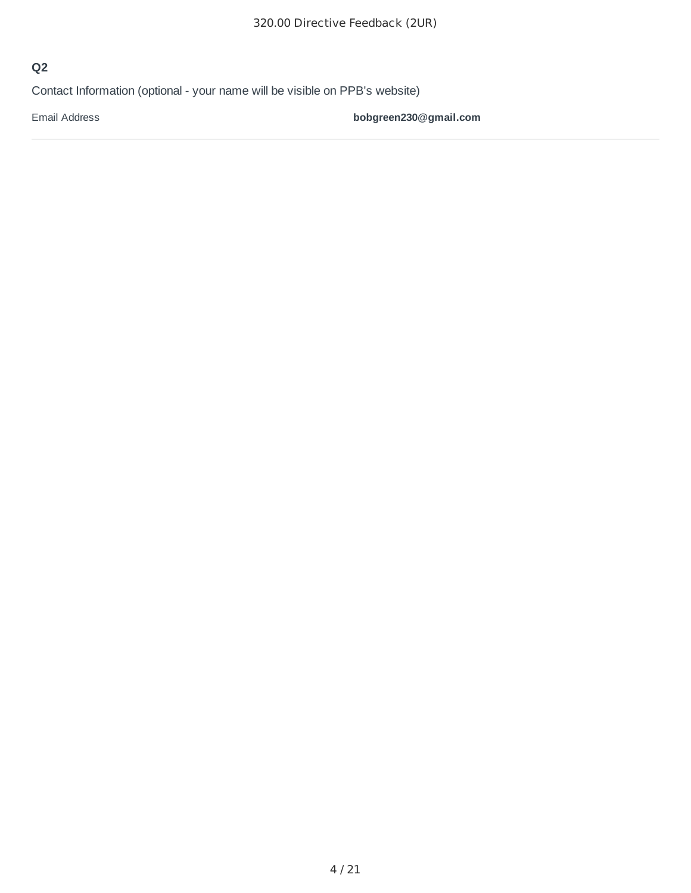# **Q2**

Contact Information (optional - your name will be visible on PPB's website)

Email Address **bobgreen230@gmail.com**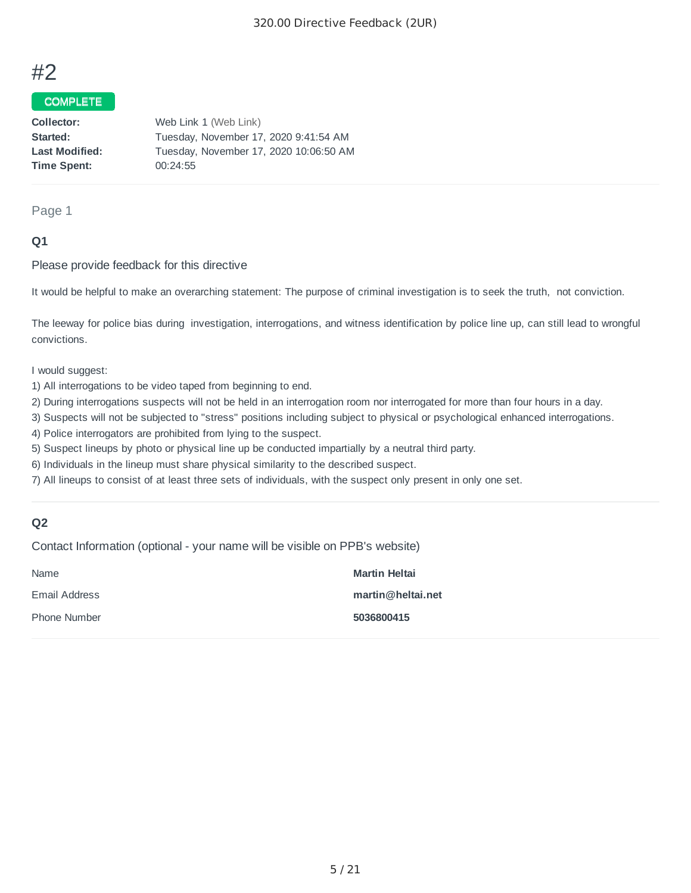## COMPLETE

| Collector:            | Web Link 1 (Web Link)                  |
|-----------------------|----------------------------------------|
| Started:              | Tuesday, November 17, 2020 9:41:54 AM  |
| <b>Last Modified:</b> | Tuesday, November 17, 2020 10:06:50 AM |
| Time Spent:           | 00:24:55                               |
|                       |                                        |

### Page 1

### **Q1**

Please provide feedback for this directive

It would be helpful to make an overarching statement: The purpose of criminal investigation is to seek the truth, not conviction.

The leeway for police bias during investigation, interrogations, and witness identification by police line up, can still lead to wrongful convictions.

I would suggest:

- 1) All interrogations to be video taped from beginning to end.
- 2) During interrogations suspects will not be held in an interrogation room nor interrogated for more than four hours in a day.
- 3) Suspects will not be subjected to "stress" positions including subject to physical or psychological enhanced interrogations.
- 4) Police interrogators are prohibited from lying to the suspect.
- 5) Suspect lineups by photo or physical line up be conducted impartially by a neutral third party.
- 6) Individuals in the lineup must share physical similarity to the described suspect.
- 7) All lineups to consist of at least three sets of individuals, with the suspect only present in only one set.

## **Q2**

Contact Information (optional - your name will be visible on PPB's website)

| Name                | <b>Martin Heltai</b>     |
|---------------------|--------------------------|
| Email Address       | $m$ artin $@$ heltai.net |
| <b>Phone Number</b> | 5036800415               |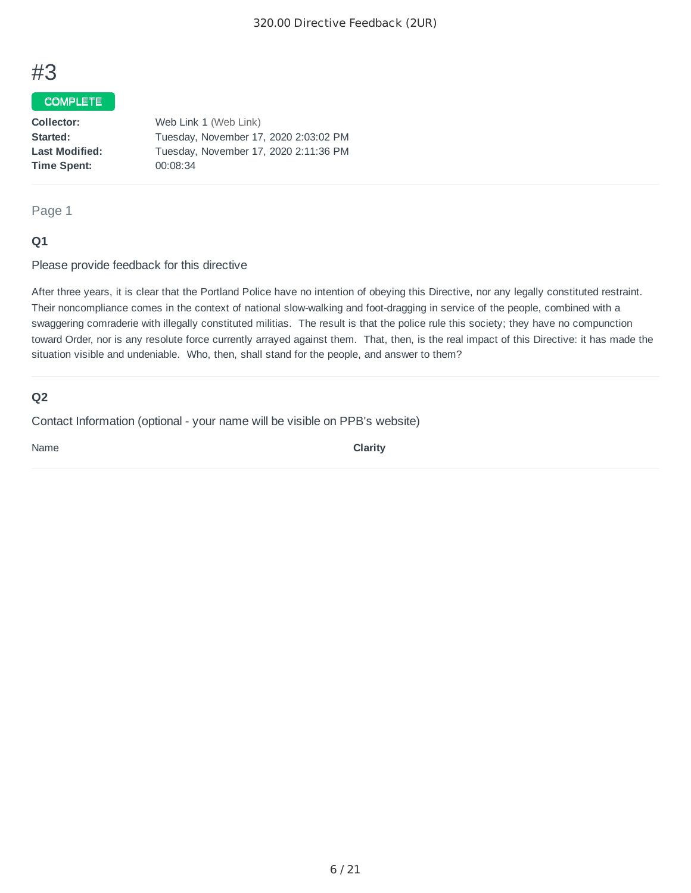# COMPLETE

| Tuesday, November 17, 2020 2:03:02 PM |
|---------------------------------------|
| Tuesday, November 17, 2020 2:11:36 PM |
|                                       |
|                                       |

### Page 1

### **Q1**

Please provide feedback for this directive

After three years, it is clear that the Portland Police have no intention of obeying this Directive, nor any legally constituted restraint. Their noncompliance comes in the context of national slow-walking and foot-dragging in service of the people, combined with a swaggering comraderie with illegally constituted militias. The result is that the police rule this society; they have no compunction toward Order, nor is any resolute force currently arrayed against them. That, then, is the real impact of this Directive: it has made the situation visible and undeniable. Who, then, shall stand for the people, and answer to them?

## **Q2**

Contact Information (optional - your name will be visible on PPB's website)

Name **Clarity**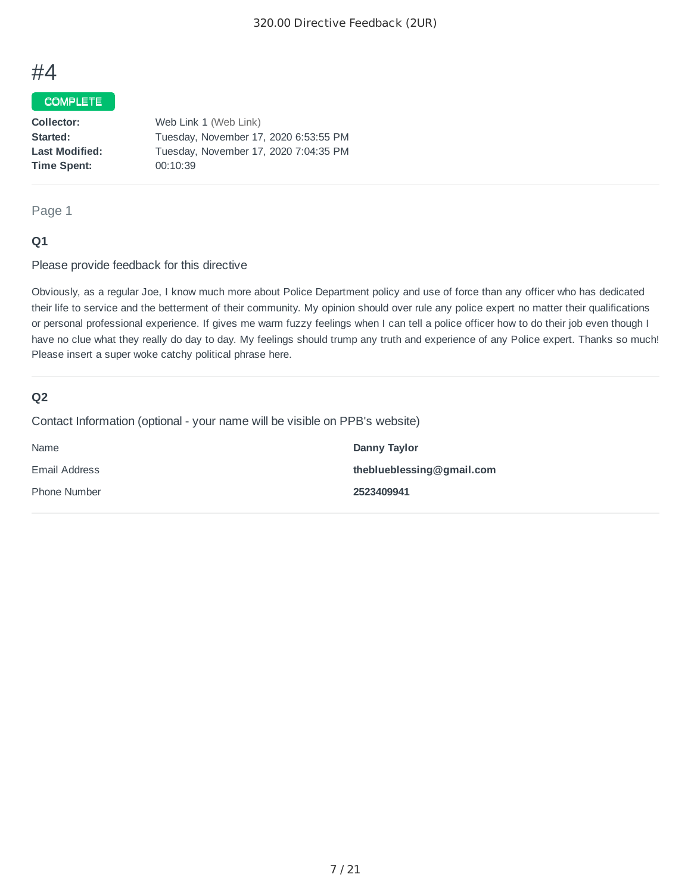# COMPLETE

| Collector:            | Web Link 1 (Web Link)                 |
|-----------------------|---------------------------------------|
| Started:              | Tuesday, November 17, 2020 6:53:55 PM |
| <b>Last Modified:</b> | Tuesday, November 17, 2020 7:04:35 PM |
| Time Spent:           | 00:10:39                              |
|                       |                                       |

### Page 1

### **Q1**

Please provide feedback for this directive

Obviously, as a regular Joe, I know much more about Police Department policy and use of force than any officer who has dedicated their life to service and the betterment of their community. My opinion should over rule any police expert no matter their qualifications or personal professional experience. If gives me warm fuzzy feelings when I can tell a police officer how to do their job even though I have no clue what they really do day to day. My feelings should trump any truth and experience of any Police expert. Thanks so much! Please insert a super woke catchy political phrase here.

## **Q2**

Contact Information (optional - your name will be visible on PPB's website)

| Name                | Danny Taylor              |
|---------------------|---------------------------|
| Email Address       | theblueblessing@gmail.com |
| <b>Phone Number</b> | 2523409941                |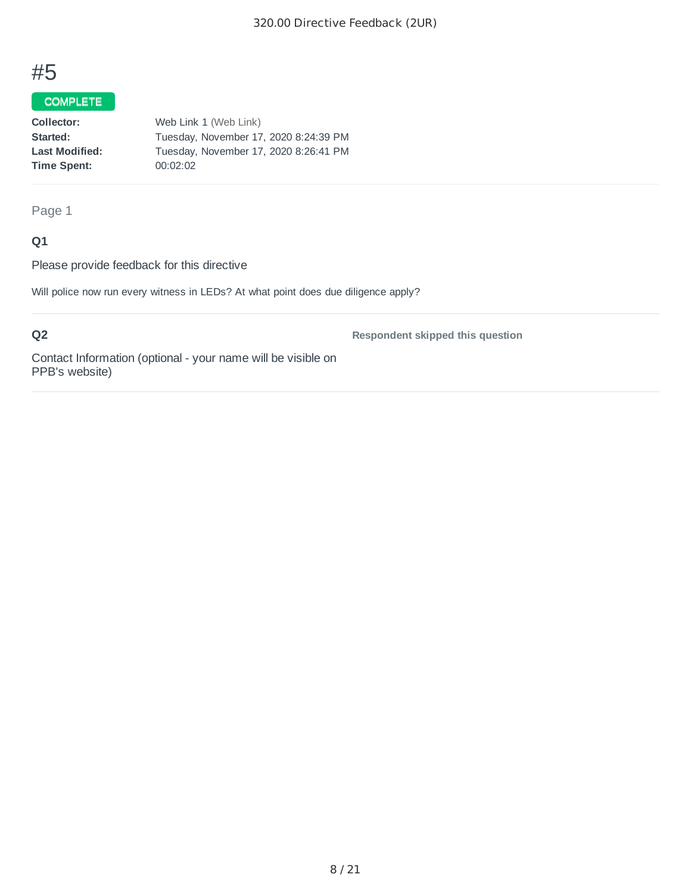# COMPLETE

| Collector:            | Web Link 1 (Web Link)                 |
|-----------------------|---------------------------------------|
| Started:              | Tuesday, November 17, 2020 8:24:39 PM |
| <b>Last Modified:</b> | Tuesday, November 17, 2020 8:26:41 PM |
| Time Spent:           | 00:02:02                              |
|                       |                                       |

Page 1

## **Q1**

Please provide feedback for this directive

Will police now run every witness in LEDs? At what point does due diligence apply?

# **Q2**

**Respondent skipped this question**

Contact Information (optional - your name will be visible on PPB's website)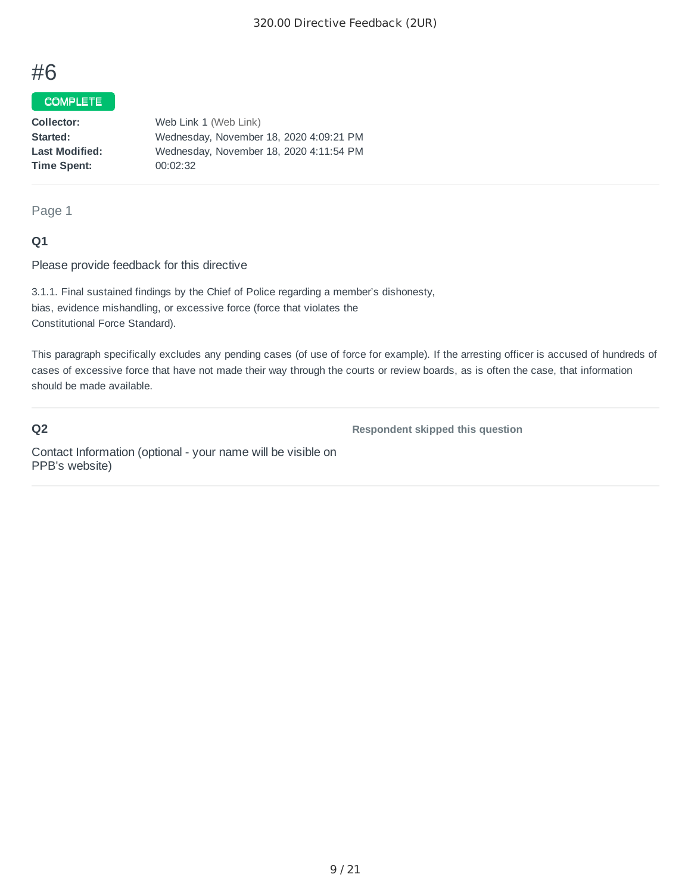### COMPLETE

**Collector:** Web Link 1 (Web Link) Started: Wednesday, November 18, 2020 4:09:21 PM **Last Modified:** Wednesday, November 18, 2020 4:11:54 PM **Time Spent:** 00:02:32

### Page 1

### **Q1**

Please provide feedback for this directive

3.1.1. Final sustained findings by the Chief of Police regarding a member's dishonesty, bias, evidence mishandling, or excessive force (force that violates the Constitutional Force Standard).

This paragraph specifically excludes any pending cases (of use of force for example). If the arresting officer is accused of hundreds of cases of excessive force that have not made their way through the courts or review boards, as is often the case, that information should be made available.

### **Q2**

**Respondent skipped this question**

Contact Information (optional - your name will be visible on PPB's website)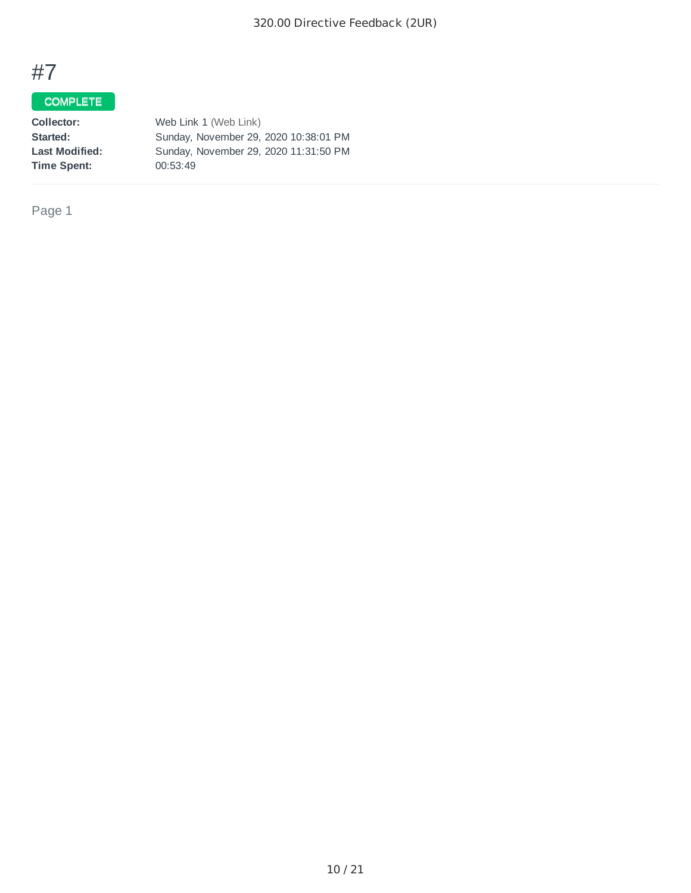# COMPLETE

| Collector:            | Web Link 1 (Web Link)                 |
|-----------------------|---------------------------------------|
| Started:              | Sunday, November 29, 2020 10:38:01 PM |
| <b>Last Modified:</b> | Sunday, November 29, 2020 11:31:50 PM |
| <b>Time Spent:</b>    | 00:53:49                              |
|                       |                                       |

Page 1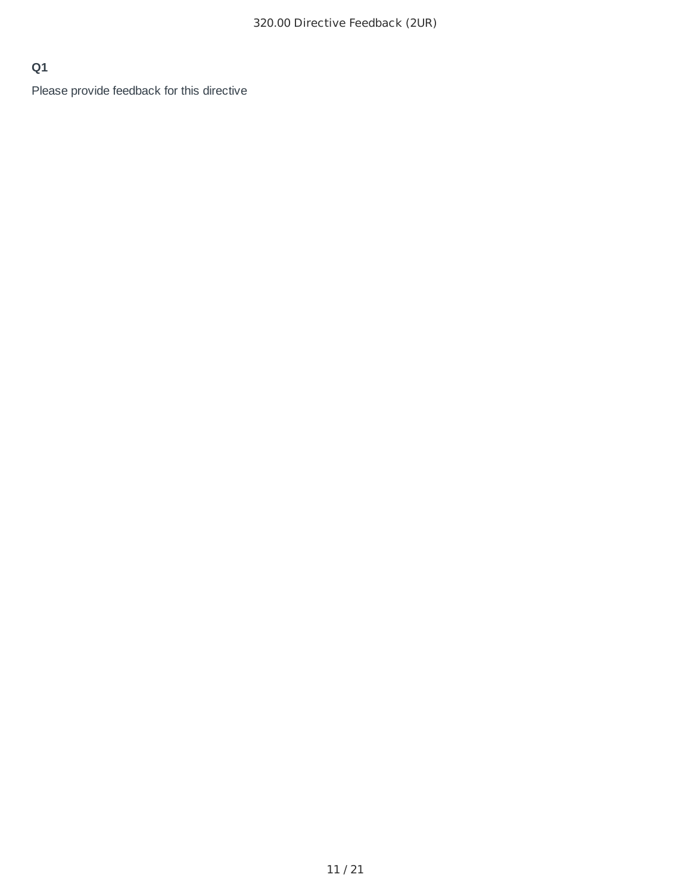# **Q1**

Please provide feedback for this directive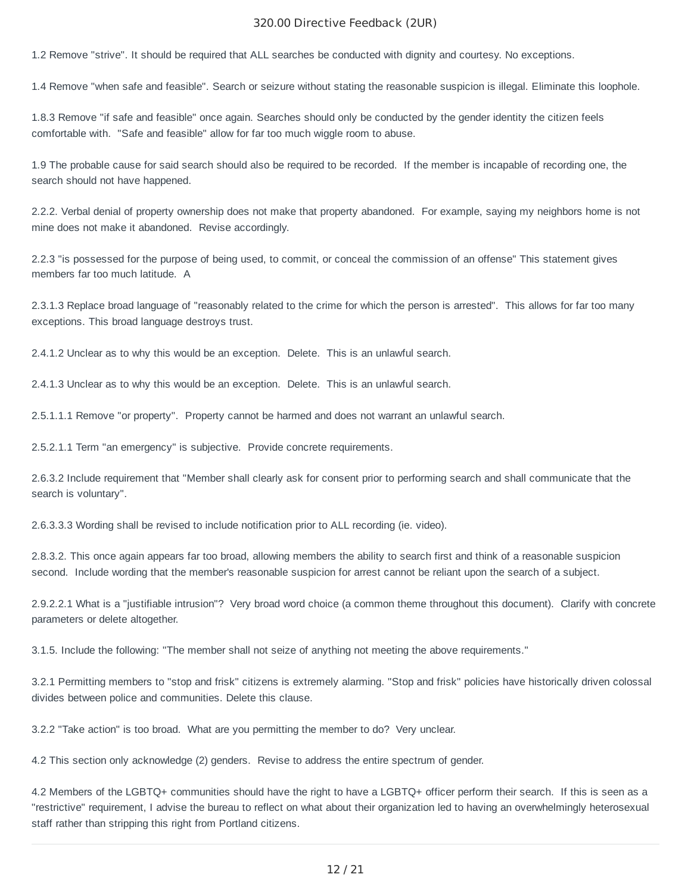#### 320.00 Directive Feedback (2UR)

1.2 Remove "strive". It should be required that ALL searches be conducted with dignity and courtesy. No exceptions.

1.4 Remove "when safe and feasible". Search or seizure without stating the reasonable suspicion is illegal. Eliminate this loophole.

1.8.3 Remove "if safe and feasible" once again. Searches should only be conducted by the gender identity the citizen feels comfortable with. "Safe and feasible" allow for far too much wiggle room to abuse.

1.9 The probable cause for said search should also be required to be recorded. If the member is incapable of recording one, the search should not have happened.

2.2.2. Verbal denial of property ownership does not make that property abandoned. For example, saying my neighbors home is not mine does not make it abandoned. Revise accordingly.

2.2.3 "is possessed for the purpose of being used, to commit, or conceal the commission of an offense" This statement gives members far too much latitude. A

2.3.1.3 Replace broad language of "reasonably related to the crime for which the person is arrested". This allows for far too many exceptions. This broad language destroys trust.

2.4.1.2 Unclear as to why this would be an exception. Delete. This is an unlawful search.

2.4.1.3 Unclear as to why this would be an exception. Delete. This is an unlawful search.

2.5.1.1.1 Remove "or property". Property cannot be harmed and does not warrant an unlawful search.

2.5.2.1.1 Term "an emergency" is subjective. Provide concrete requirements.

2.6.3.2 Include requirement that "Member shall clearly ask for consent prior to performing search and shall communicate that the search is voluntary".

2.6.3.3.3 Wording shall be revised to include notification prior to ALL recording (ie. video).

2.8.3.2. This once again appears far too broad, allowing members the ability to search first and think of a reasonable suspicion second. Include wording that the member's reasonable suspicion for arrest cannot be reliant upon the search of a subject.

2.9.2.2.1 What is a "justifiable intrusion"? Very broad word choice (a common theme throughout this document). Clarify with concrete parameters or delete altogether.

3.1.5. Include the following: "The member shall not seize of anything not meeting the above requirements."

3.2.1 Permitting members to "stop and frisk" citizens is extremely alarming. "Stop and frisk" policies have historically driven colossal divides between police and communities. Delete this clause.

3.2.2 "Take action" is too broad. What are you permitting the member to do? Very unclear.

4.2 This section only acknowledge (2) genders. Revise to address the entire spectrum of gender.

4.2 Members of the LGBTQ+ communities should have the right to have a LGBTQ+ officer perform their search. If this is seen as a "restrictive" requirement, I advise the bureau to reflect on what about their organization led to having an overwhelmingly heterosexual staff rather than stripping this right from Portland citizens.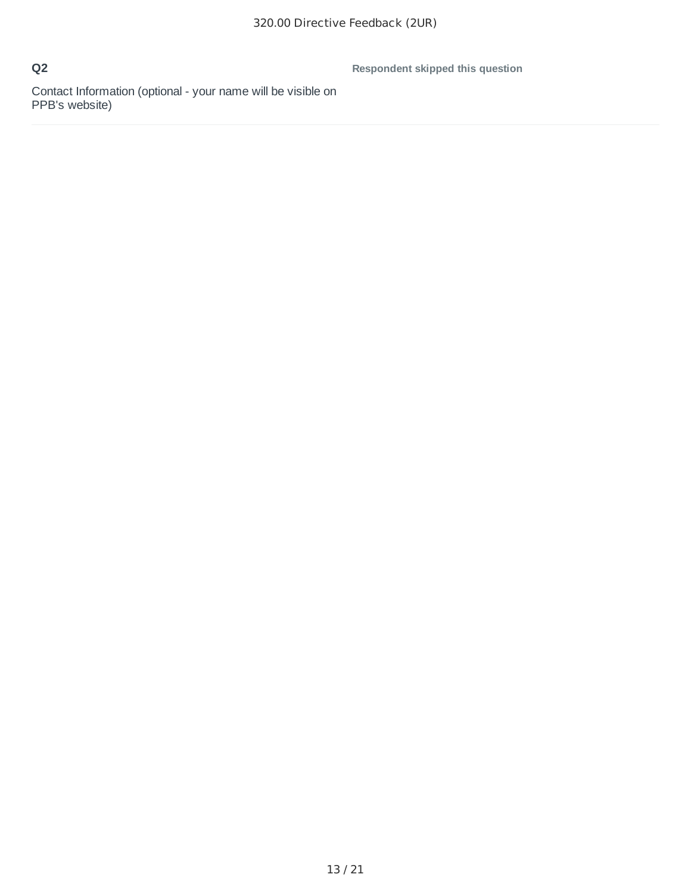**Respondent skipped this question**

Contact Information (optional - your name will be visible on PPB's website)

**Q2**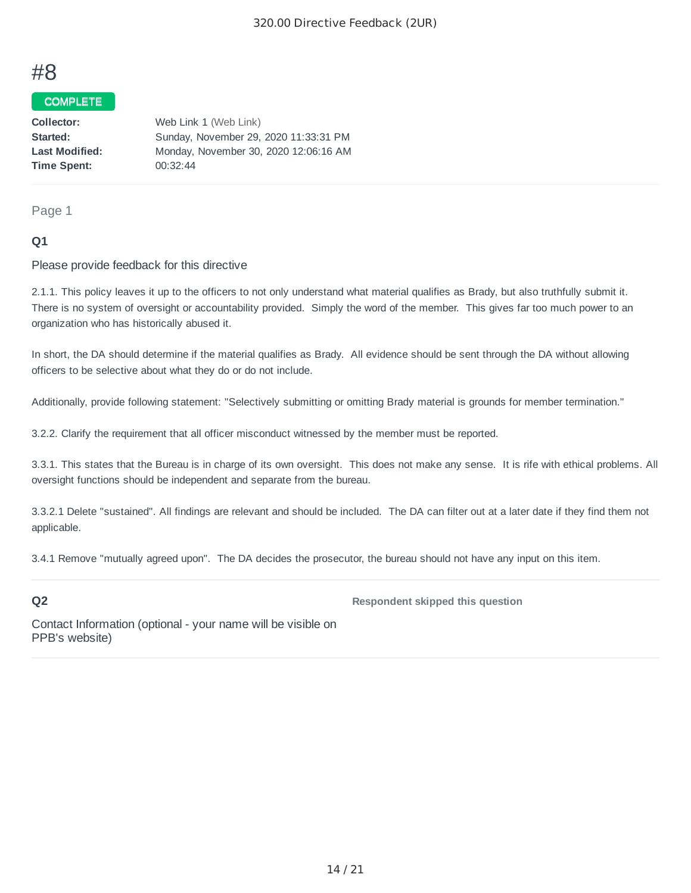### COMPLETE

| Collector:            | Web Link 1 (Web Link)                 |
|-----------------------|---------------------------------------|
| Started:              | Sunday, November 29, 2020 11:33:31 PM |
| <b>Last Modified:</b> | Monday, November 30, 2020 12:06:16 AM |
| Time Spent:           | 00:32:44                              |
|                       |                                       |

### Page 1

### **Q1**

#### Please provide feedback for this directive

2.1.1. This policy leaves it up to the officers to not only understand what material qualifies as Brady, but also truthfully submit it. There is no system of oversight or accountability provided. Simply the word of the member. This gives far too much power to an organization who has historically abused it.

In short, the DA should determine if the material qualifies as Brady. All evidence should be sent through the DA without allowing officers to be selective about what they do or do not include.

Additionally, provide following statement: "Selectively submitting or omitting Brady material is grounds for member termination."

3.2.2. Clarify the requirement that all officer misconduct witnessed by the member must be reported.

3.3.1. This states that the Bureau is in charge of its own oversight. This does not make any sense. It is rife with ethical problems. All oversight functions should be independent and separate from the bureau.

3.3.2.1 Delete "sustained". All findings are relevant and should be included. The DA can filter out at a later date if they find them not applicable.

3.4.1 Remove "mutually agreed upon". The DA decides the prosecutor, the bureau should not have any input on this item.

### **Q2**

**Respondent skipped this question**

Contact Information (optional - your name will be visible on PPB's website)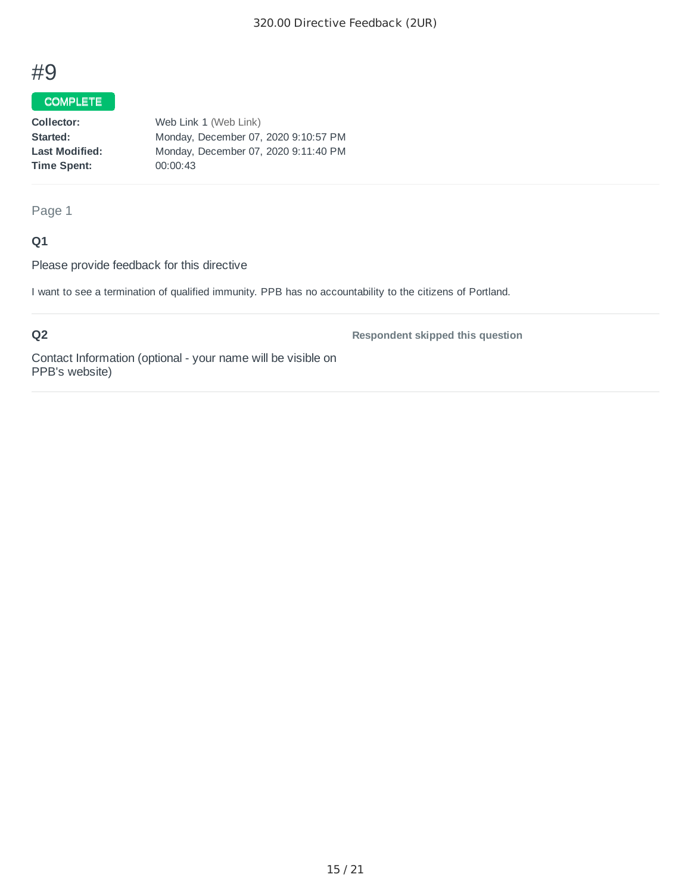# COMPLETE

| Collector:            | Web Link 1 (Web Link)                |
|-----------------------|--------------------------------------|
| Started:              | Monday, December 07, 2020 9:10:57 PM |
| <b>Last Modified:</b> | Monday, December 07, 2020 9:11:40 PM |
| Time Spent:           | 00:00:43                             |
|                       |                                      |

Page 1

## **Q1**

Please provide feedback for this directive

I want to see a termination of qualified immunity. PPB has no accountability to the citizens of Portland.

# **Q2**

**Respondent skipped this question**

Contact Information (optional - your name will be visible on PPB's website)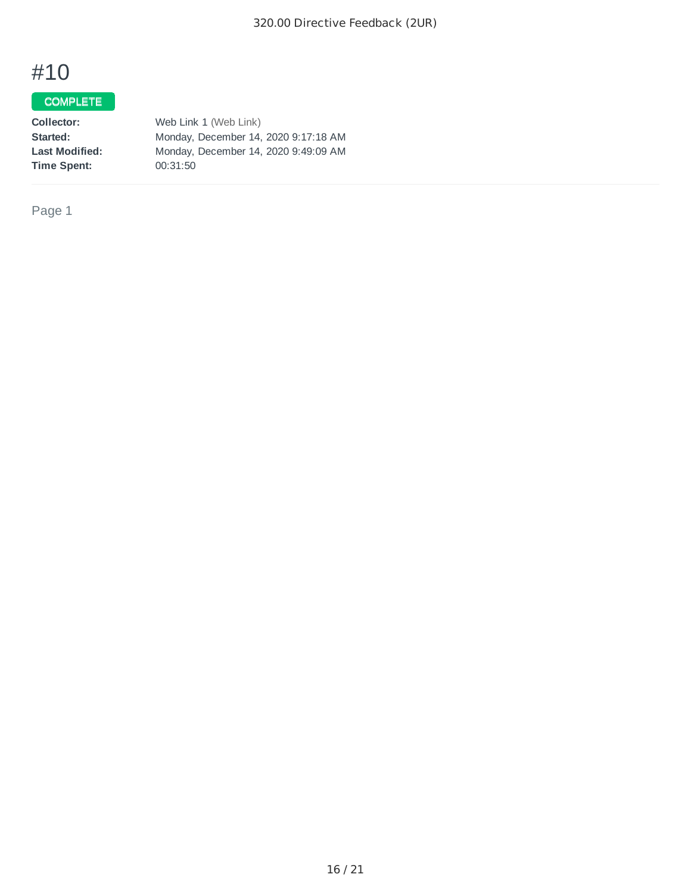# COMPLETE

| Web Link 1 (Web Link)                |
|--------------------------------------|
| Monday, December 14, 2020 9:17:18 AM |
| Monday, December 14, 2020 9:49:09 AM |
| 00:31:50                             |
|                                      |

Page 1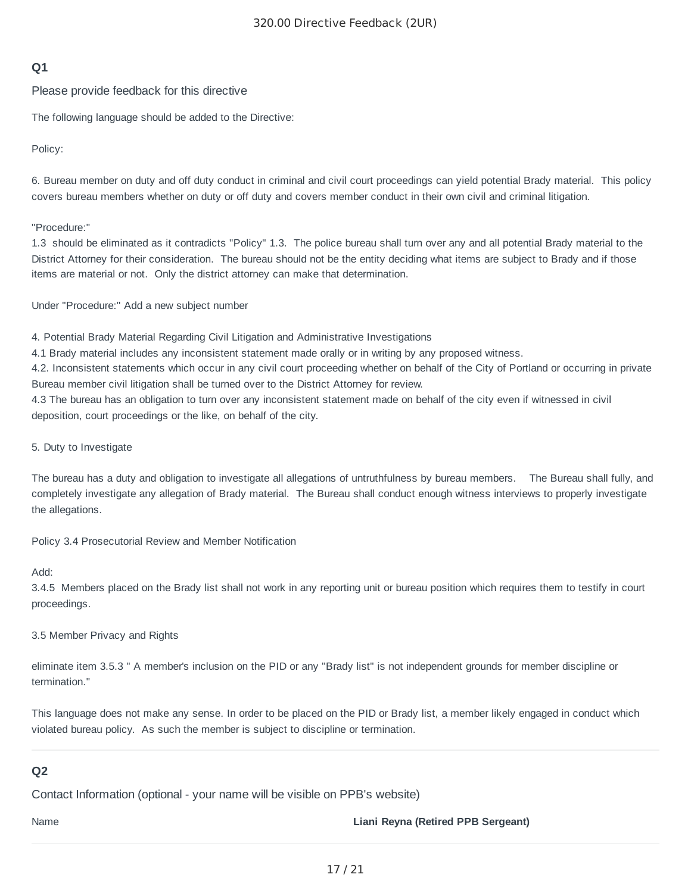## **Q1**

Please provide feedback for this directive

The following language should be added to the Directive:

Policy:

6. Bureau member on duty and off duty conduct in criminal and civil court proceedings can yield potential Brady material. This policy covers bureau members whether on duty or off duty and covers member conduct in their own civil and criminal litigation.

#### "Procedure:"

1.3 should be eliminated as it contradicts "Policy" 1.3. The police bureau shall turn over any and all potential Brady material to the District Attorney for their consideration. The bureau should not be the entity deciding what items are subject to Brady and if those items are material or not. Only the district attorney can make that determination.

Under "Procedure:" Add a new subject number

4. Potential Brady Material Regarding Civil Litigation and Administrative Investigations

4.1 Brady material includes any inconsistent statement made orally or in writing by any proposed witness.

4.2. Inconsistent statements which occur in any civil court proceeding whether on behalf of the City of Portland or occurring in private Bureau member civil litigation shall be turned over to the District Attorney for review.

4.3 The bureau has an obligation to turn over any inconsistent statement made on behalf of the city even if witnessed in civil deposition, court proceedings or the like, on behalf of the city.

5. Duty to Investigate

The bureau has a duty and obligation to investigate all allegations of untruthfulness by bureau members. The Bureau shall fully, and completely investigate any allegation of Brady material. The Bureau shall conduct enough witness interviews to properly investigate the allegations.

Policy 3.4 Prosecutorial Review and Member Notification

Add:

3.4.5 Members placed on the Brady list shall not work in any reporting unit or bureau position which requires them to testify in court proceedings.

3.5 Member Privacy and Rights

eliminate item 3.5.3 " A member's inclusion on the PID or any "Brady list" is not independent grounds for member discipline or termination."

This language does not make any sense. In order to be placed on the PID or Brady list, a member likely engaged in conduct which violated bureau policy. As such the member is subject to discipline or termination.

### **Q2**

Contact Information (optional - your name will be visible on PPB's website)

Name **Liani Reyna (Retired PPB Sergeant)**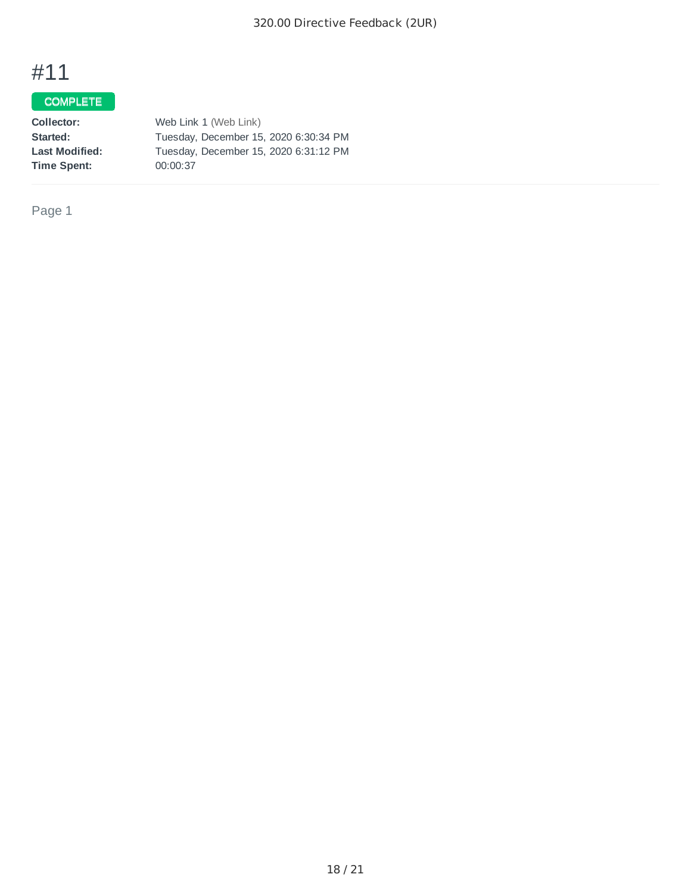# COMPLETE

| Web Link 1 (Web Link)                 |
|---------------------------------------|
| Tuesday, December 15, 2020 6:30:34 PM |
| Tuesday, December 15, 2020 6:31:12 PM |
| 00:00:37                              |
|                                       |

Page 1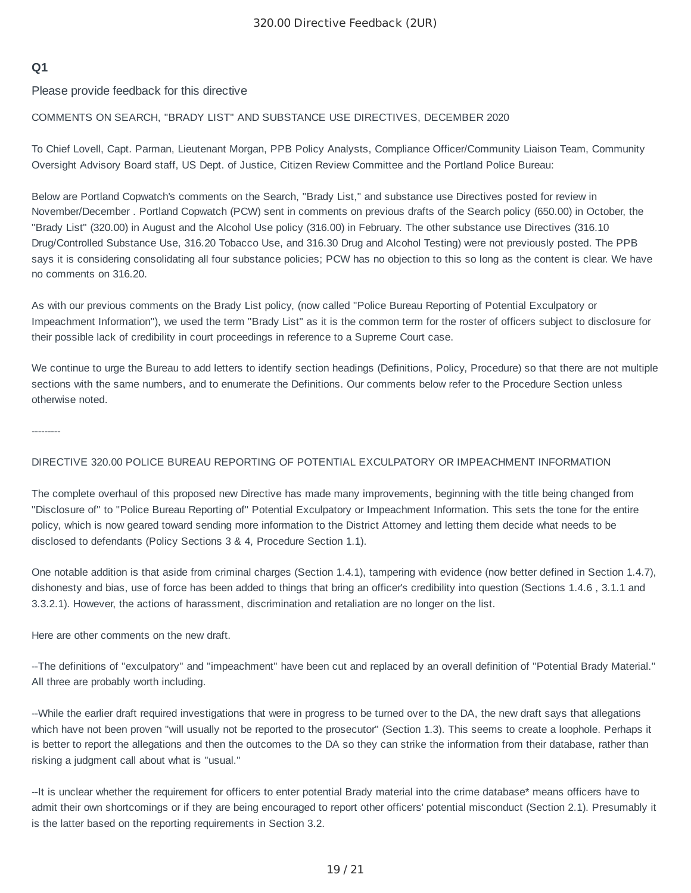### **Q1**

Please provide feedback for this directive

### COMMENTS ON SEARCH, "BRADY LIST" AND SUBSTANCE USE DIRECTIVES, DECEMBER 2020

To Chief Lovell, Capt. Parman, Lieutenant Morgan, PPB Policy Analysts, Compliance Officer/Community Liaison Team, Community Oversight Advisory Board staff, US Dept. of Justice, Citizen Review Committee and the Portland Police Bureau:

Below are Portland Copwatch's comments on the Search, "Brady List," and substance use Directives posted for review in November/December . Portland Copwatch (PCW) sent in comments on previous drafts of the Search policy (650.00) in October, the "Brady List" (320.00) in August and the Alcohol Use policy (316.00) in February. The other substance use Directives (316.10 Drug/Controlled Substance Use, 316.20 Tobacco Use, and 316.30 Drug and Alcohol Testing) were not previously posted. The PPB says it is considering consolidating all four substance policies; PCW has no objection to this so long as the content is clear. We have no comments on 316.20.

As with our previous comments on the Brady List policy, (now called "Police Bureau Reporting of Potential Exculpatory or Impeachment Information"), we used the term "Brady List" as it is the common term for the roster of officers subject to disclosure for their possible lack of credibility in court proceedings in reference to a Supreme Court case.

We continue to urge the Bureau to add letters to identify section headings (Definitions, Policy, Procedure) so that there are not multiple sections with the same numbers, and to enumerate the Definitions. Our comments below refer to the Procedure Section unless otherwise noted.

---------

### DIRECTIVE 320.00 POLICE BUREAU REPORTING OF POTENTIAL EXCULPATORY OR IMPEACHMENT INFORMATION

The complete overhaul of this proposed new Directive has made many improvements, beginning with the title being changed from "Disclosure of" to "Police Bureau Reporting of" Potential Exculpatory or Impeachment Information. This sets the tone for the entire policy, which is now geared toward sending more information to the District Attorney and letting them decide what needs to be disclosed to defendants (Policy Sections 3 & 4, Procedure Section 1.1).

One notable addition is that aside from criminal charges (Section 1.4.1), tampering with evidence (now better defined in Section 1.4.7), dishonesty and bias, use of force has been added to things that bring an officer's credibility into question (Sections 1.4.6 , 3.1.1 and 3.3.2.1). However, the actions of harassment, discrimination and retaliation are no longer on the list.

Here are other comments on the new draft.

--The definitions of "exculpatory" and "impeachment" have been cut and replaced by an overall definition of "Potential Brady Material." All three are probably worth including.

--While the earlier draft required investigations that were in progress to be turned over to the DA, the new draft says that allegations which have not been proven "will usually not be reported to the prosecutor" (Section 1.3). This seems to create a loophole. Perhaps it is better to report the allegations and then the outcomes to the DA so they can strike the information from their database, rather than risking a judgment call about what is "usual."

--It is unclear whether the requirement for officers to enter potential Brady material into the crime database\* means officers have to admit their own shortcomings or if they are being encouraged to report other officers' potential misconduct (Section 2.1). Presumably it is the latter based on the reporting requirements in Section 3.2.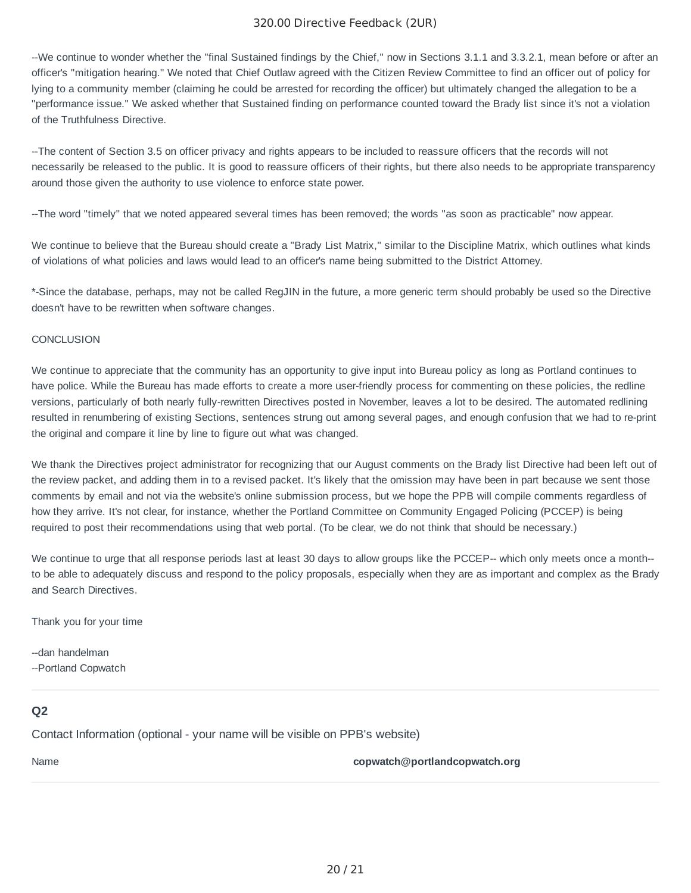### 320.00 Directive Feedback (2UR)

--We continue to wonder whether the "final Sustained findings by the Chief," now in Sections 3.1.1 and 3.3.2.1, mean before or after an officer's "mitigation hearing." We noted that Chief Outlaw agreed with the Citizen Review Committee to find an officer out of policy for lying to a community member (claiming he could be arrested for recording the officer) but ultimately changed the allegation to be a "performance issue." We asked whether that Sustained finding on performance counted toward the Brady list since it's not a violation of the Truthfulness Directive.

--The content of Section 3.5 on officer privacy and rights appears to be included to reassure officers that the records will not necessarily be released to the public. It is good to reassure officers of their rights, but there also needs to be appropriate transparency around those given the authority to use violence to enforce state power.

--The word "timely" that we noted appeared several times has been removed; the words "as soon as practicable" now appear.

We continue to believe that the Bureau should create a "Brady List Matrix," similar to the Discipline Matrix, which outlines what kinds of violations of what policies and laws would lead to an officer's name being submitted to the District Attorney.

\*-Since the database, perhaps, may not be called RegJIN in the future, a more generic term should probably be used so the Directive doesn't have to be rewritten when software changes.

#### **CONCLUSION**

We continue to appreciate that the community has an opportunity to give input into Bureau policy as long as Portland continues to have police. While the Bureau has made efforts to create a more user-friendly process for commenting on these policies, the redline versions, particularly of both nearly fully-rewritten Directives posted in November, leaves a lot to be desired. The automated redlining resulted in renumbering of existing Sections, sentences strung out among several pages, and enough confusion that we had to re-print the original and compare it line by line to figure out what was changed.

We thank the Directives project administrator for recognizing that our August comments on the Brady list Directive had been left out of the review packet, and adding them in to a revised packet. It's likely that the omission may have been in part because we sent those comments by email and not via the website's online submission process, but we hope the PPB will compile comments regardless of how they arrive. It's not clear, for instance, whether the Portland Committee on Community Engaged Policing (PCCEP) is being required to post their recommendations using that web portal. (To be clear, we do not think that should be necessary.)

We continue to urge that all response periods last at least 30 days to allow groups like the PCCEP-- which only meets once a month- to be able to adequately discuss and respond to the policy proposals, especially when they are as important and complex as the Brady and Search Directives.

Thank you for your time

--dan handelman

--Portland Copwatch

### **Q2**

Contact Information (optional - your name will be visible on PPB's website)

Name **copwatch@portlandcopwatch.org**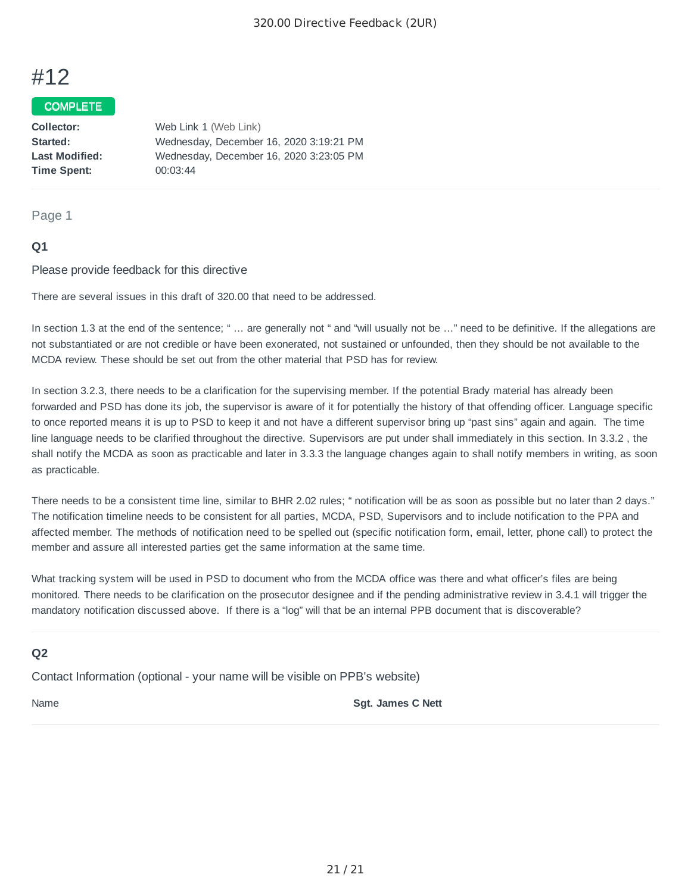### COMPLETE

**Collector:** Web Link 1 (Web Link) Started: Wednesday, December 16, 2020 3:19:21 PM **Last Modified:** Wednesday, December 16, 2020 3:23:05 PM **Time Spent:** 00:03:44

#### Page 1

### **Q1**

Please provide feedback for this directive

There are several issues in this draft of 320.00 that need to be addressed.

In section 1.3 at the end of the sentence; " ... are generally not " and "will usually not be ..." need to be definitive. If the allegations are not substantiated or are not credible or have been exonerated, not sustained or unfounded, then they should be not available to the MCDA review. These should be set out from the other material that PSD has for review.

In section 3.2.3, there needs to be a clarification for the supervising member. If the potential Brady material has already been forwarded and PSD has done its job, the supervisor is aware of it for potentially the history of that offending officer. Language specific to once reported means it is up to PSD to keep it and not have a different supervisor bring up "past sins" again and again. The time line language needs to be clarified throughout the directive. Supervisors are put under shall immediately in this section. In 3.3.2 , the shall notify the MCDA as soon as practicable and later in 3.3.3 the language changes again to shall notify members in writing, as soon as practicable.

There needs to be a consistent time line, similar to BHR 2.02 rules; " notification will be as soon as possible but no later than 2 days." The notification timeline needs to be consistent for all parties, MCDA, PSD, Supervisors and to include notification to the PPA and affected member. The methods of notification need to be spelled out (specific notification form, email, letter, phone call) to protect the member and assure all interested parties get the same information at the same time.

What tracking system will be used in PSD to document who from the MCDA office was there and what officer's files are being monitored. There needs to be clarification on the prosecutor designee and if the pending administrative review in 3.4.1 will trigger the mandatory notification discussed above. If there is a "log" will that be an internal PPB document that is discoverable?

### **Q2**

Contact Information (optional - your name will be visible on PPB's website)

Name **Sgt. James C Nett**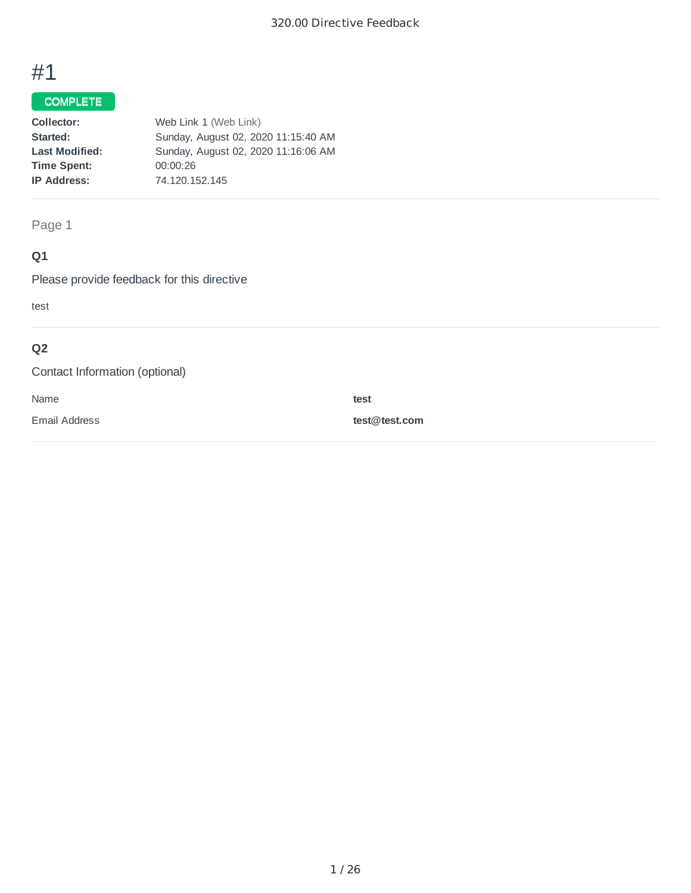# COMPLETE

| Collector:            | Web Link 1 (Web Link)               |
|-----------------------|-------------------------------------|
| Started:              | Sunday, August 02, 2020 11:15:40 AM |
| <b>Last Modified:</b> | Sunday, August 02, 2020 11:16:06 AM |
| <b>Time Spent:</b>    | 00:00:26                            |
| <b>IP Address:</b>    | 74.120.152.145                      |
|                       |                                     |

Page 1

# **Q1**

Please provide feedback for this directive

test

## **Q2**

Contact Information (optional)

Name **test**

Email Address **test@test.com**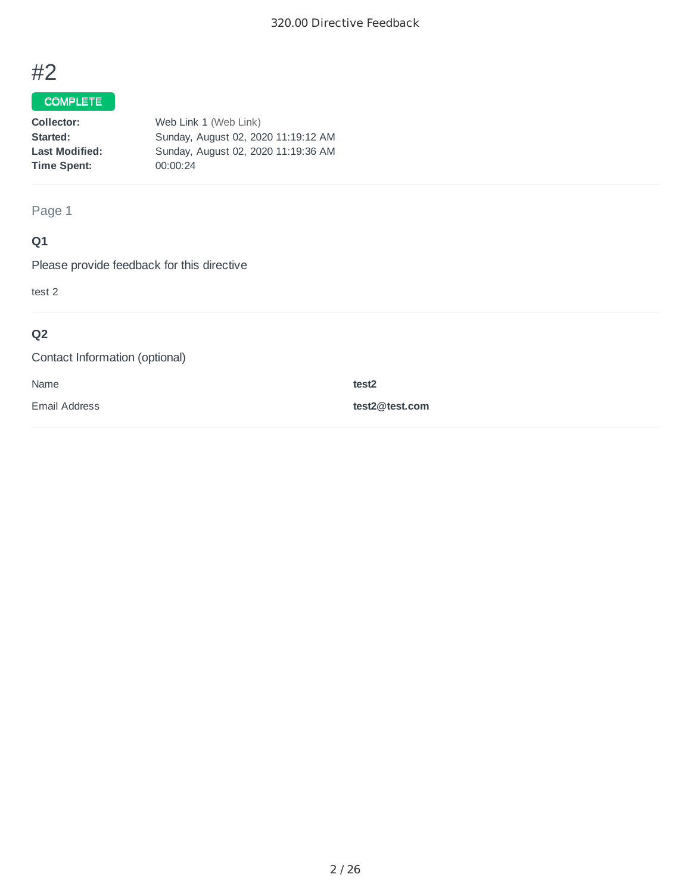# COMPLETE

| Web Link 1 (Web Link)               |
|-------------------------------------|
| Sunday, August 02, 2020 11:19:12 AM |
| Sunday, August 02, 2020 11:19:36 AM |
| 00:00:24                            |
|                                     |

## Page 1

# **Q1**

Please provide feedback for this directive

test 2

## **Q2**

Contact Information (optional)

Name **test2** 

Email Address **test2@test.com**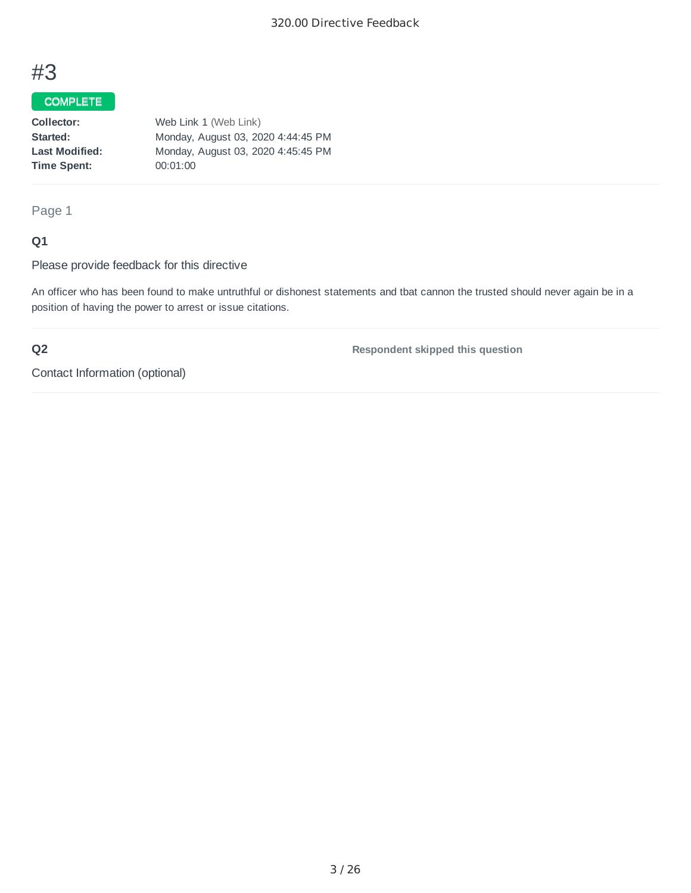### COMPLETE

| Collector:            | Web Link 1 (Web Link)              |
|-----------------------|------------------------------------|
| Started:              | Monday, August 03, 2020 4:44:45 PM |
| <b>Last Modified:</b> | Monday, August 03, 2020 4:45:45 PM |
| Time Spent:           | 00:01:00                           |
|                       |                                    |

Page 1

## **Q1**

Please provide feedback for this directive

An officer who has been found to make untruthful or dishonest statements and tbat cannon the trusted should never again be in a position of having the power to arrest or issue citations.

# **Q2**

**Respondent skipped this question**

Contact Information (optional)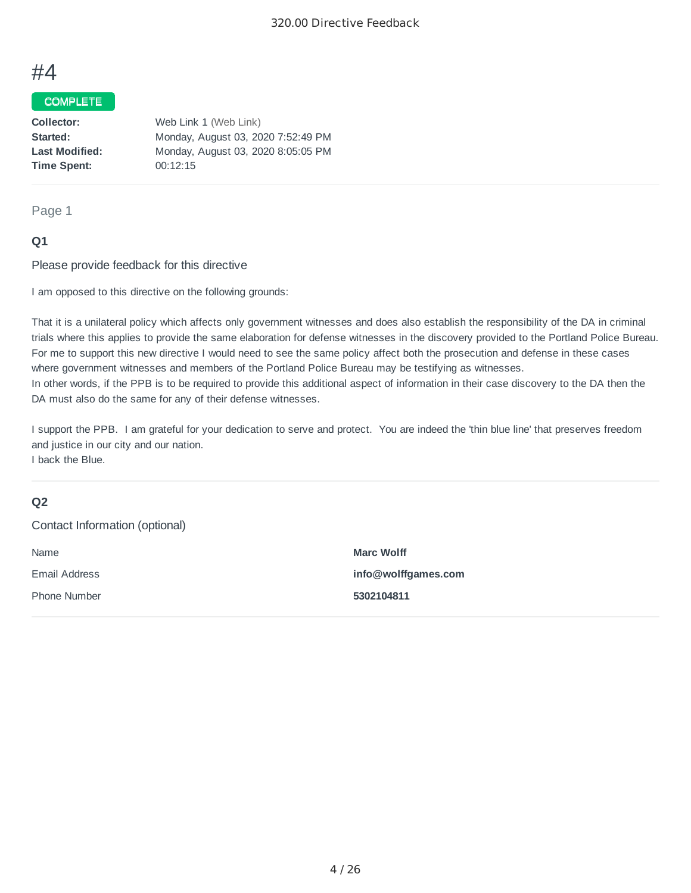## COMPLETE

| Collector:            | Web Link 1 (Web Link)              |
|-----------------------|------------------------------------|
| Started:              | Monday, August 03, 2020 7:52:49 PM |
| <b>Last Modified:</b> | Monday, August 03, 2020 8:05:05 PM |
| Time Spent:           | 00:12:15                           |
|                       |                                    |

### Page 1

### **Q1**

Please provide feedback for this directive

I am opposed to this directive on the following grounds:

That it is a unilateral policy which affects only government witnesses and does also establish the responsibility of the DA in criminal trials where this applies to provide the same elaboration for defense witnesses in the discovery provided to the Portland Police Bureau. For me to support this new directive I would need to see the same policy affect both the prosecution and defense in these cases where government witnesses and members of the Portland Police Bureau may be testifying as witnesses. In other words, if the PPB is to be required to provide this additional aspect of information in their case discovery to the DA then the DA must also do the same for any of their defense witnesses.

I support the PPB. I am grateful for your dedication to serve and protect. You are indeed the 'thin blue line' that preserves freedom and justice in our city and our nation. I back the Blue.

### **Q2**

Contact Information (optional)

Name **Marc Wolff** Email Address **info@wolffgames.com** Phone Number **5302104811**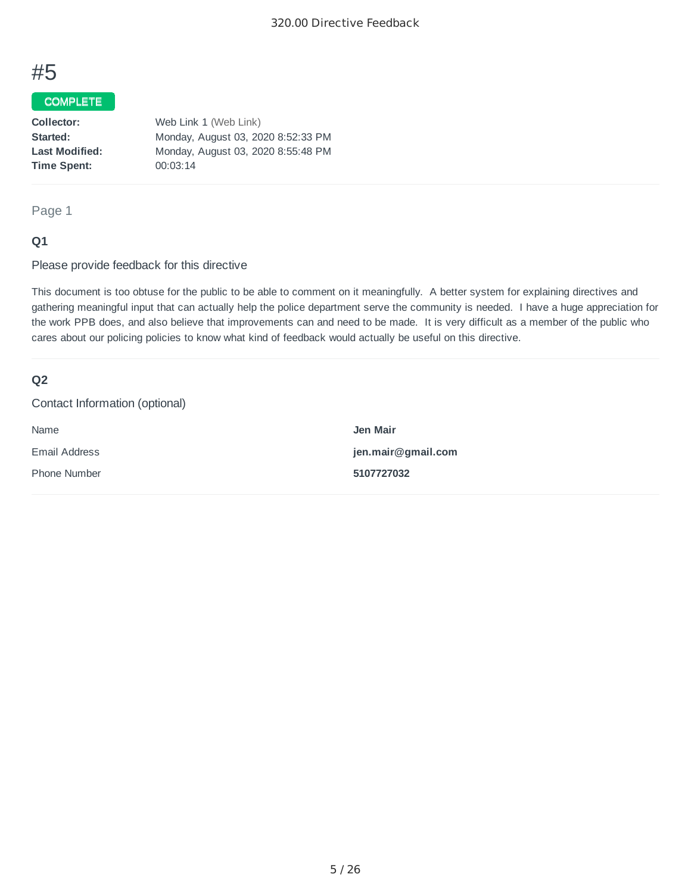# COMPLETE

| Collector:            | Web Link 1 (Web Link)              |
|-----------------------|------------------------------------|
| Started:              | Monday, August 03, 2020 8:52:33 PM |
| <b>Last Modified:</b> | Monday, August 03, 2020 8:55:48 PM |
| Time Spent:           | 00:03:14                           |
|                       |                                    |

### Page 1

### **Q1**

### Please provide feedback for this directive

This document is too obtuse for the public to be able to comment on it meaningfully. A better system for explaining directives and gathering meaningful input that can actually help the police department serve the community is needed. I have a huge appreciation for the work PPB does, and also believe that improvements can and need to be made. It is very difficult as a member of the public who cares about our policing policies to know what kind of feedback would actually be useful on this directive.

## **Q2**

Contact Information (optional)

Phone Number **5107727032**

Name **Jen Mair** Email Address **jen.mair@gmail.com**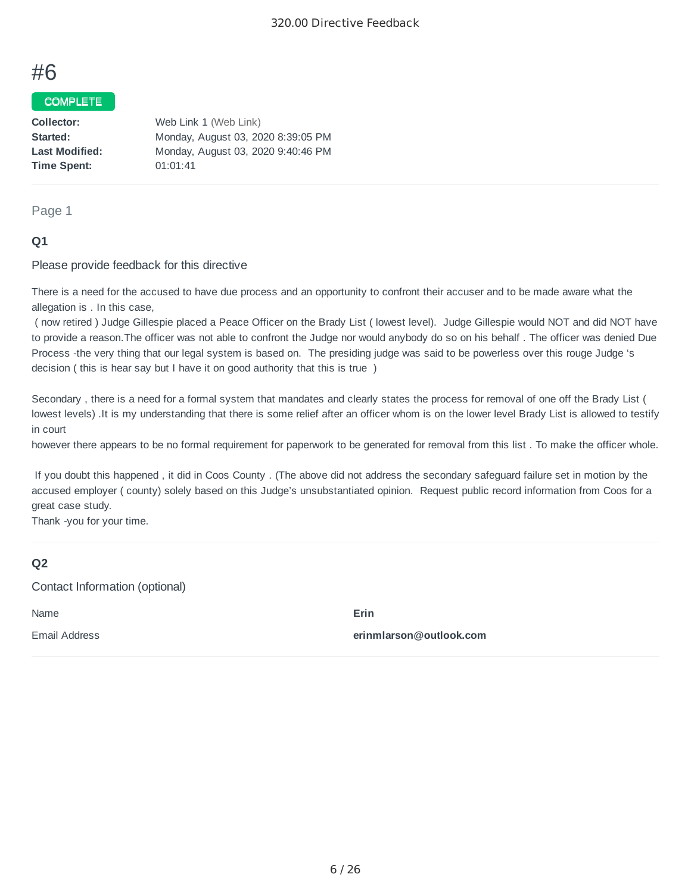### COMPLETE

| Web Link 1 (Web Link)              |
|------------------------------------|
| Monday, August 03, 2020 8:39:05 PM |
| Monday, August 03, 2020 9:40:46 PM |
| 01:01:41                           |
|                                    |

### Page 1

### **Q1**

Please provide feedback for this directive

There is a need for the accused to have due process and an opportunity to confront their accuser and to be made aware what the allegation is . In this case,

( now retired ) Judge Gillespie placed a Peace Officer on the Brady List ( lowest level). Judge Gillespie would NOT and did NOT have to provide a reason.The officer was not able to confront the Judge nor would anybody do so on his behalf . The officer was denied Due Process -the very thing that our legal system is based on. The presiding judge was said to be powerless over this rouge Judge 's decision ( this is hear say but I have it on good authority that this is true )

Secondary , there is a need for a formal system that mandates and clearly states the process for removal of one off the Brady List ( lowest levels) .It is my understanding that there is some relief after an officer whom is on the lower level Brady List is allowed to testify in court

however there appears to be no formal requirement for paperwork to be generated for removal from this list . To make the officer whole.

If you doubt this happened , it did in Coos County . (The above did not address the secondary safeguard failure set in motion by the accused employer ( county) solely based on this Judge's unsubstantiated opinion. Request public record information from Coos for a great case study.

Thank -you for your time.

### **Q2**

Contact Information (optional)

Name **Erin**

Email Address **erinmlarson@outlook.com**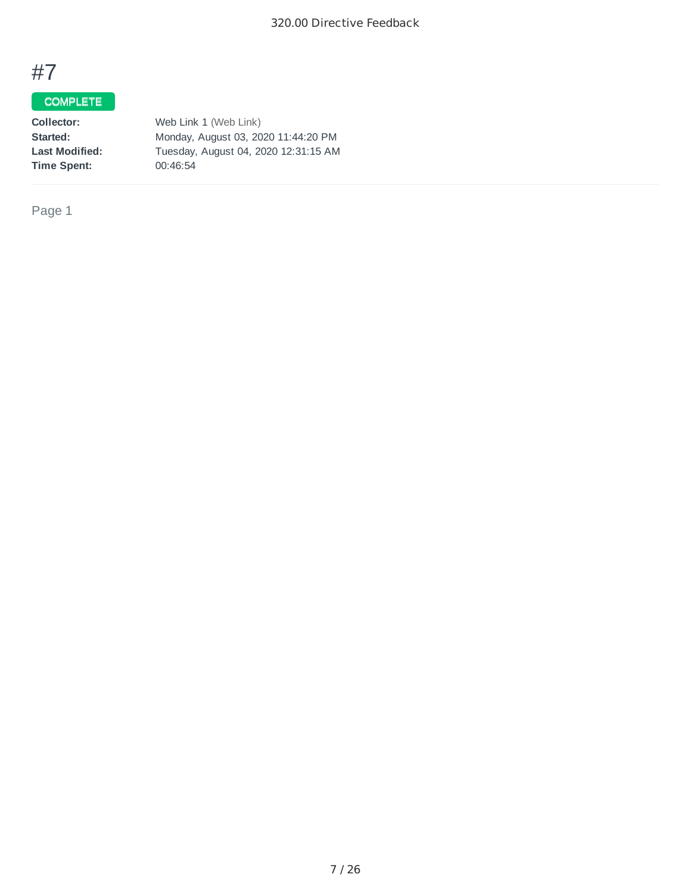# COMPLETE

| Collector:            | Web Link 1 (Web Link)                |
|-----------------------|--------------------------------------|
| Started:              | Monday, August 03, 2020 11:44:20 PM  |
| <b>Last Modified:</b> | Tuesday, August 04, 2020 12:31:15 AM |
| Time Spent:           | 00:46:54                             |
|                       |                                      |

Page 1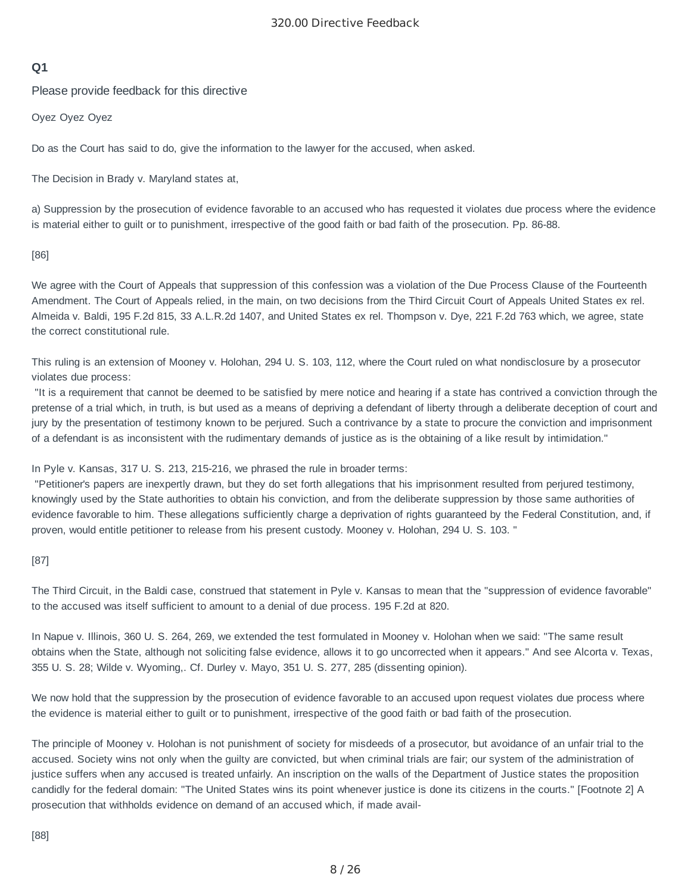## **Q1**

Please provide feedback for this directive

Oyez Oyez Oyez

Do as the Court has said to do, give the information to the lawyer for the accused, when asked.

The Decision in Brady v. Maryland states at,

a) Suppression by the prosecution of evidence favorable to an accused who has requested it violates due process where the evidence is material either to guilt or to punishment, irrespective of the good faith or bad faith of the prosecution. Pp. 86-88.

[86]

We agree with the Court of Appeals that suppression of this confession was a violation of the Due Process Clause of the Fourteenth Amendment. The Court of Appeals relied, in the main, on two decisions from the Third Circuit Court of Appeals United States ex rel. Almeida v. Baldi, 195 F.2d 815, 33 A.L.R.2d 1407, and United States ex rel. Thompson v. Dye, 221 F.2d 763 which, we agree, state the correct constitutional rule.

This ruling is an extension of Mooney v. Holohan, 294 U. S. 103, 112, where the Court ruled on what nondisclosure by a prosecutor violates due process:

"It is a requirement that cannot be deemed to be satisfied by mere notice and hearing if a state has contrived a conviction through the pretense of a trial which, in truth, is but used as a means of depriving a defendant of liberty through a deliberate deception of court and jury by the presentation of testimony known to be perjured. Such a contrivance by a state to procure the conviction and imprisonment of a defendant is as inconsistent with the rudimentary demands of justice as is the obtaining of a like result by intimidation."

In Pyle v. Kansas, 317 U. S. 213, 215-216, we phrased the rule in broader terms:

"Petitioner's papers are inexpertly drawn, but they do set forth allegations that his imprisonment resulted from perjured testimony, knowingly used by the State authorities to obtain his conviction, and from the deliberate suppression by those same authorities of evidence favorable to him. These allegations sufficiently charge a deprivation of rights guaranteed by the Federal Constitution, and, if proven, would entitle petitioner to release from his present custody. Mooney v. Holohan, 294 U. S. 103. "

[87]

The Third Circuit, in the Baldi case, construed that statement in Pyle v. Kansas to mean that the "suppression of evidence favorable" to the accused was itself sufficient to amount to a denial of due process. 195 F.2d at 820.

In Napue v. Illinois, 360 U. S. 264, 269, we extended the test formulated in Mooney v. Holohan when we said: "The same result obtains when the State, although not soliciting false evidence, allows it to go uncorrected when it appears." And see Alcorta v. Texas, 355 U. S. 28; Wilde v. Wyoming,. Cf. Durley v. Mayo, 351 U. S. 277, 285 (dissenting opinion).

We now hold that the suppression by the prosecution of evidence favorable to an accused upon request violates due process where the evidence is material either to guilt or to punishment, irrespective of the good faith or bad faith of the prosecution.

The principle of Mooney v. Holohan is not punishment of society for misdeeds of a prosecutor, but avoidance of an unfair trial to the accused. Society wins not only when the guilty are convicted, but when criminal trials are fair; our system of the administration of justice suffers when any accused is treated unfairly. An inscription on the walls of the Department of Justice states the proposition candidly for the federal domain: "The United States wins its point whenever justice is done its citizens in the courts." [Footnote 2] A prosecution that withholds evidence on demand of an accused which, if made avail-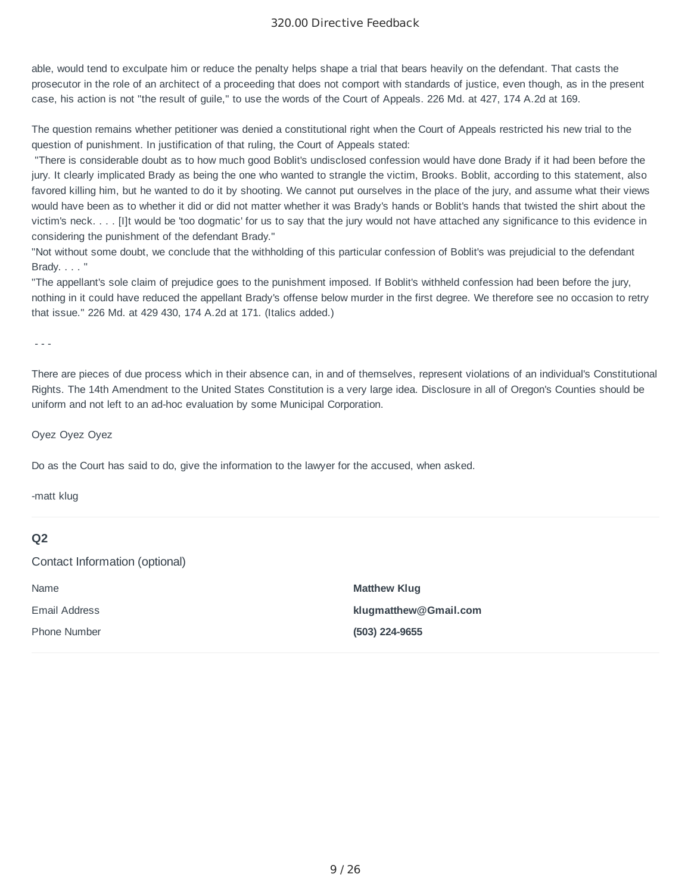### 320.00 Directive Feedback

able, would tend to exculpate him or reduce the penalty helps shape a trial that bears heavily on the defendant. That casts the prosecutor in the role of an architect of a proceeding that does not comport with standards of justice, even though, as in the present case, his action is not "the result of guile," to use the words of the Court of Appeals. 226 Md. at 427, 174 A.2d at 169.

The question remains whether petitioner was denied a constitutional right when the Court of Appeals restricted his new trial to the question of punishment. In justification of that ruling, the Court of Appeals stated:

"There is considerable doubt as to how much good Boblit's undisclosed confession would have done Brady if it had been before the jury. It clearly implicated Brady as being the one who wanted to strangle the victim, Brooks. Boblit, according to this statement, also favored killing him, but he wanted to do it by shooting. We cannot put ourselves in the place of the jury, and assume what their views would have been as to whether it did or did not matter whether it was Brady's hands or Boblit's hands that twisted the shirt about the victim's neck. . . . [I]t would be 'too dogmatic' for us to say that the jury would not have attached any significance to this evidence in considering the punishment of the defendant Brady."

"Not without some doubt, we conclude that the withholding of this particular confession of Boblit's was prejudicial to the defendant Brady. . . . "

"The appellant's sole claim of prejudice goes to the punishment imposed. If Boblit's withheld confession had been before the jury, nothing in it could have reduced the appellant Brady's offense below murder in the first degree. We therefore see no occasion to retry that issue." 226 Md. at 429 430, 174 A.2d at 171. (Italics added.)

- - -

There are pieces of due process which in their absence can, in and of themselves, represent violations of an individual's Constitutional Rights. The 14th Amendment to the United States Constitution is a very large idea. Disclosure in all of Oregon's Counties should be uniform and not left to an ad-hoc evaluation by some Municipal Corporation.

Oyez Oyez Oyez

Do as the Court has said to do, give the information to the lawyer for the accused, when asked.

-matt klug

### **Q2**

Contact Information (optional)

Phone Number **(503) 224-9655**

Name **Matthew Klug** Email Address **klugmatthew@Gmail.com**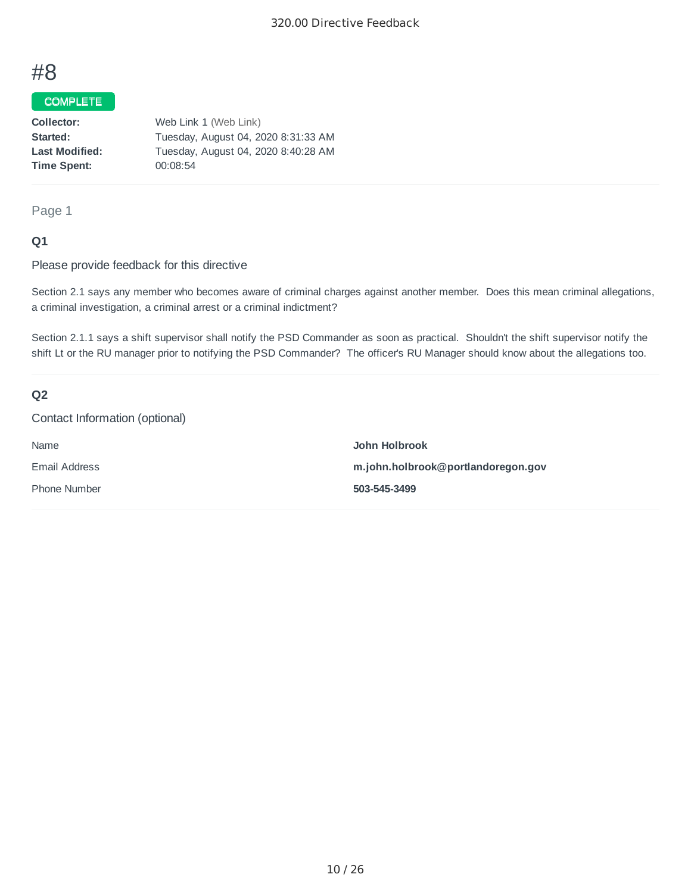# COMPLETE

| Collector:            | Web Link 1 (Web Link)               |
|-----------------------|-------------------------------------|
| Started:              | Tuesday, August 04, 2020 8:31:33 AM |
| <b>Last Modified:</b> | Tuesday, August 04, 2020 8:40:28 AM |
| Time Spent:           | 00:08:54                            |
|                       |                                     |

### Page 1

### **Q1**

### Please provide feedback for this directive

Section 2.1 says any member who becomes aware of criminal charges against another member. Does this mean criminal allegations, a criminal investigation, a criminal arrest or a criminal indictment?

Section 2.1.1 says a shift supervisor shall notify the PSD Commander as soon as practical. Shouldn't the shift supervisor notify the shift Lt or the RU manager prior to notifying the PSD Commander? The officer's RU Manager should know about the allegations too.

### **Q2**

| Contact Information (optional) |  |
|--------------------------------|--|
|                                |  |

Name **John Holbrook** Email Address **m.john.holbrook@portlandoregon.gov** Phone Number **503-545-3499**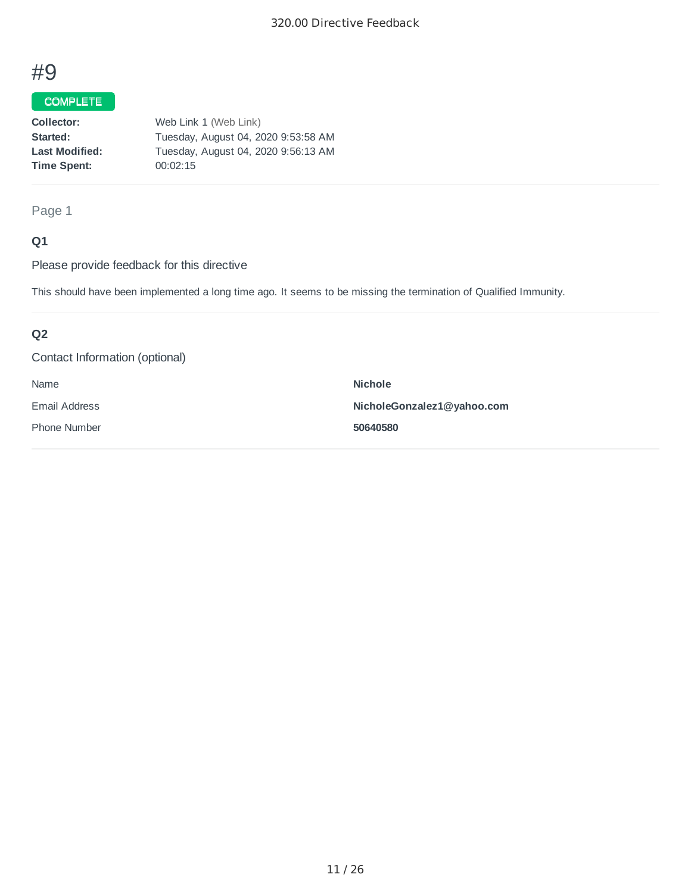# COMPLETE

| Collector:            | Web Link 1 (Web Link)               |
|-----------------------|-------------------------------------|
| Started:              | Tuesday, August 04, 2020 9:53:58 AM |
| <b>Last Modified:</b> | Tuesday, August 04, 2020 9:56:13 AM |
| <b>Time Spent:</b>    | 00:02:15                            |
|                       |                                     |

## Page 1

## **Q1**

Please provide feedback for this directive

This should have been implemented a long time ago. It seems to be missing the termination of Qualified Immunity.

# **Q2**

| Contact Information (optional) |                            |
|--------------------------------|----------------------------|
| Name                           | <b>Nichole</b>             |
| Email Address                  | NicholeGonzalez1@yahoo.com |
| <b>Phone Number</b>            | 50640580                   |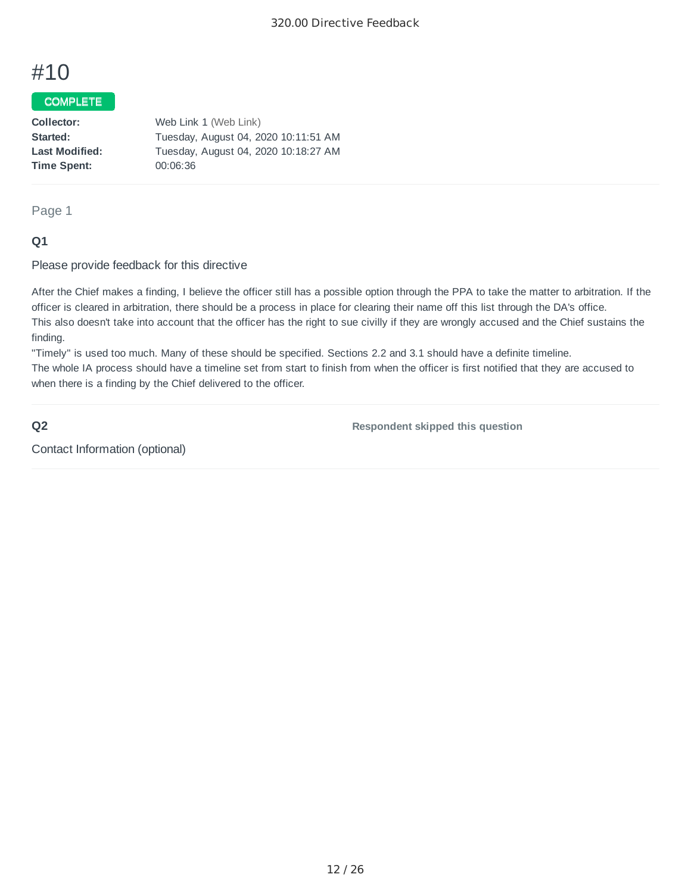### COMPLETE

| Collector:            | Web Link 1 (Web Link)                |
|-----------------------|--------------------------------------|
| Started:              | Tuesday, August 04, 2020 10:11:51 AM |
| <b>Last Modified:</b> | Tuesday, August 04, 2020 10:18:27 AM |
| <b>Time Spent:</b>    | 00:06:36                             |

### Page 1

### **Q1**

Please provide feedback for this directive

After the Chief makes a finding, I believe the officer still has a possible option through the PPA to take the matter to arbitration. If the officer is cleared in arbitration, there should be a process in place for clearing their name off this list through the DA's office. This also doesn't take into account that the officer has the right to sue civilly if they are wrongly accused and the Chief sustains the finding.

"Timely" is used too much. Many of these should be specified. Sections 2.2 and 3.1 should have a definite timeline.

The whole IA process should have a timeline set from start to finish from when the officer is first notified that they are accused to when there is a finding by the Chief delivered to the officer.

**Q2**

**Respondent skipped this question**

Contact Information (optional)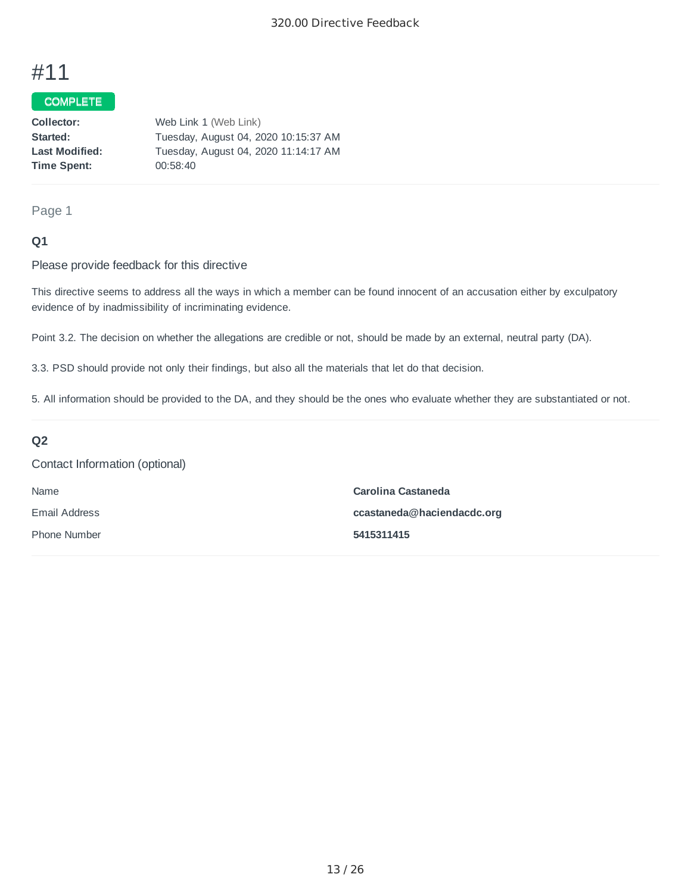### COMPLETE

| Web Link 1 (Web Link)                |
|--------------------------------------|
| Tuesday, August 04, 2020 10:15:37 AM |
| Tuesday, August 04, 2020 11:14:17 AM |
| 00:58:40                             |
|                                      |

### Page 1

### **Q1**

Please provide feedback for this directive

This directive seems to address all the ways in which a member can be found innocent of an accusation either by exculpatory evidence of by inadmissibility of incriminating evidence.

Point 3.2. The decision on whether the allegations are credible or not, should be made by an external, neutral party (DA).

3.3. PSD should provide not only their findings, but also all the materials that let do that decision.

5. All information should be provided to the DA, and they should be the ones who evaluate whether they are substantiated or not.

# **Q2** Contact Information (optional) Name **Carolina Castaneda** Email Address **ccastaneda@haciendacdc.org** Phone Number **5415311415**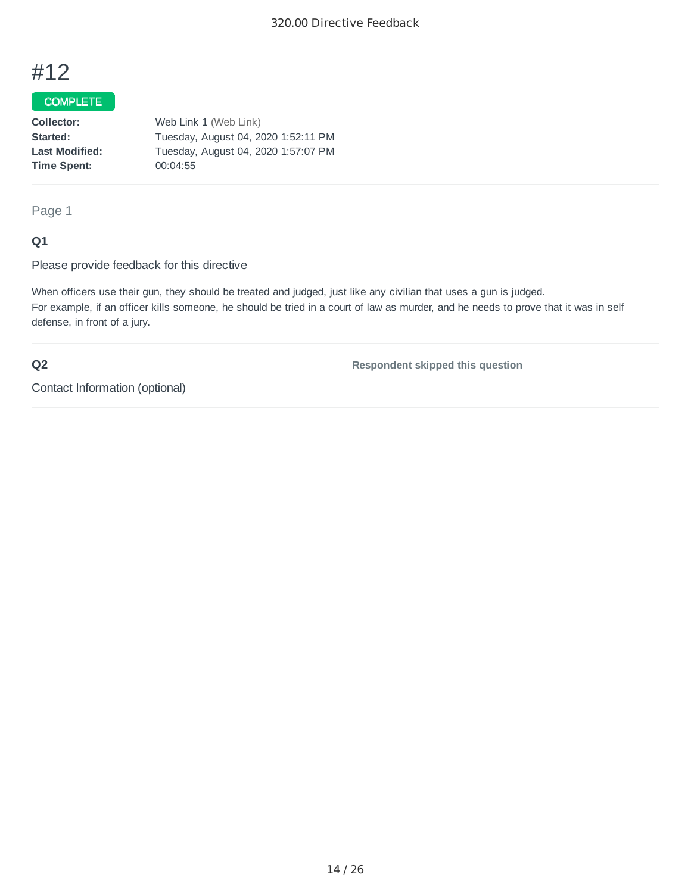## COMPLETE

| Web Link 1 (Web Link)               |
|-------------------------------------|
| Tuesday, August 04, 2020 1:52:11 PM |
| Tuesday, August 04, 2020 1:57:07 PM |
| 00:04:55                            |
|                                     |

### Page 1

### **Q1**

Please provide feedback for this directive

When officers use their gun, they should be treated and judged, just like any civilian that uses a gun is judged. For example, if an officer kills someone, he should be tried in a court of law as murder, and he needs to prove that it was in self defense, in front of a jury.

### **Q2**

**Respondent skipped this question**

Contact Information (optional)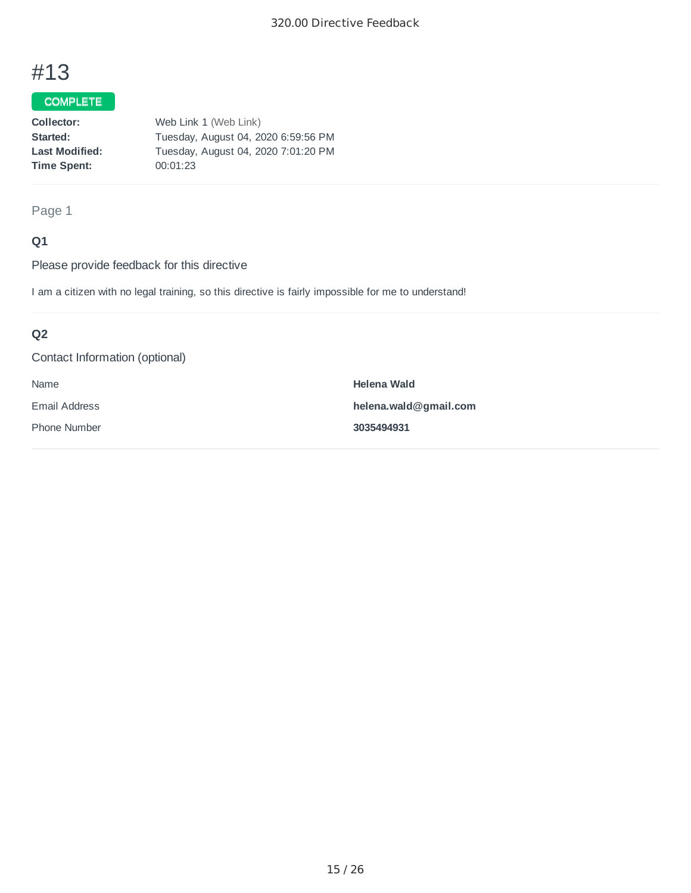# COMPLETE

| Collector:            | Web Link 1 (Web Link)               |
|-----------------------|-------------------------------------|
| Started:              | Tuesday, August 04, 2020 6:59:56 PM |
| <b>Last Modified:</b> | Tuesday, August 04, 2020 7:01:20 PM |
| Time Spent:           | 00:01:23                            |
|                       |                                     |

### Page 1

## **Q1**

Please provide feedback for this directive

I am a citizen with no legal training, so this directive is fairly impossible for me to understand!

## **Q2**

Contact Information (optional)

Phone Number **3035494931** 

Name **Helena Wald** Email Address **helena.wald@gmail.com**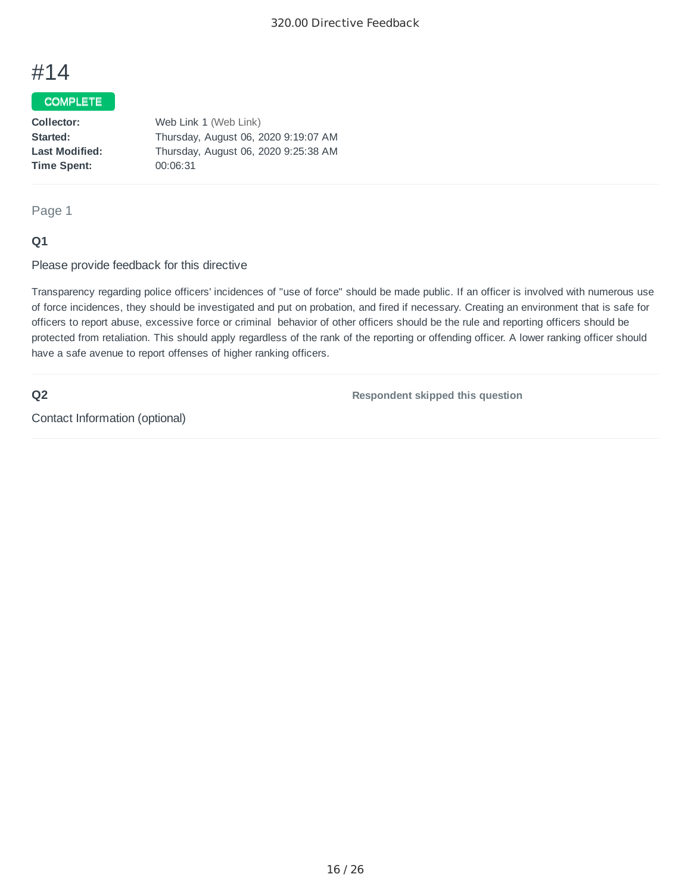### COMPLETE

**Collector:** Web Link 1 (Web Link) **Started:** Thursday, August 06, 2020 9:19:07 AM Last Modified: Thursday, August 06, 2020 9:25:38 AM **Time Spent:** 00:06:31

### Page 1

### **Q1**

Please provide feedback for this directive

Transparency regarding police officers' incidences of "use of force" should be made public. If an officer is involved with numerous use of force incidences, they should be investigated and put on probation, and fired if necessary. Creating an environment that is safe for officers to report abuse, excessive force or criminal behavior of other officers should be the rule and reporting officers should be protected from retaliation. This should apply regardless of the rank of the reporting or offending officer. A lower ranking officer should have a safe avenue to report offenses of higher ranking officers.

### **Q2**

**Respondent skipped this question**

Contact Information (optional)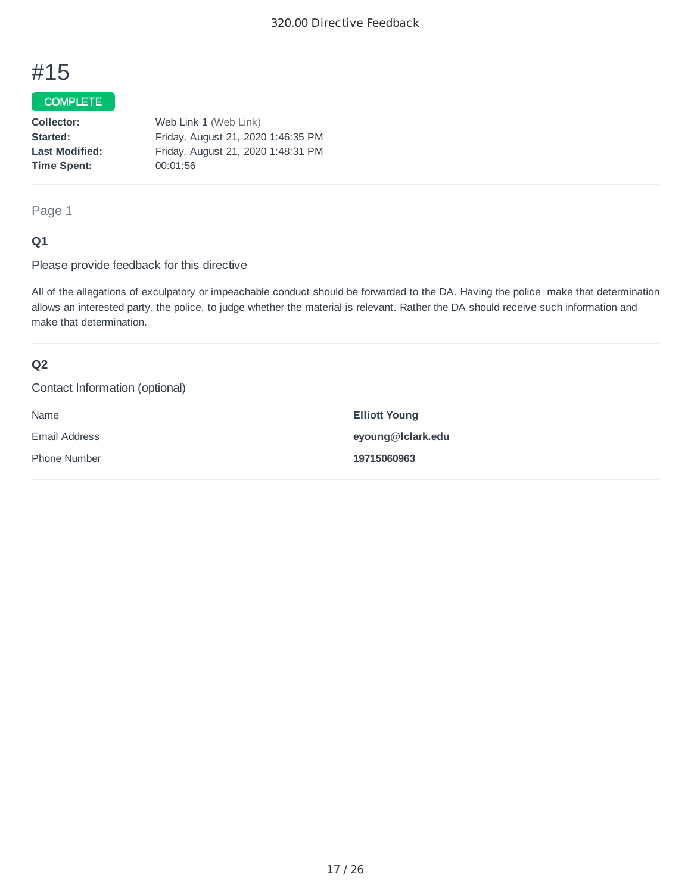## COMPLETE

| Collector:            | Web Link 1 (Web Link)              |
|-----------------------|------------------------------------|
| Started:              | Friday, August 21, 2020 1:46:35 PM |
| <b>Last Modified:</b> | Friday, August 21, 2020 1:48:31 PM |
| <b>Time Spent:</b>    | 00:01:56                           |
|                       |                                    |

### Page 1

## **Q1**

Please provide feedback for this directive

All of the allegations of exculpatory or impeachable conduct should be forwarded to the DA. Having the police make that determination allows an interested party, the police, to judge whether the material is relevant. Rather the DA should receive such information and make that determination.

## **Q2**

Contact Information (optional)

Name **Elliott Young** Email Address **eyoung@lclark.edu** Phone Number **19715060963**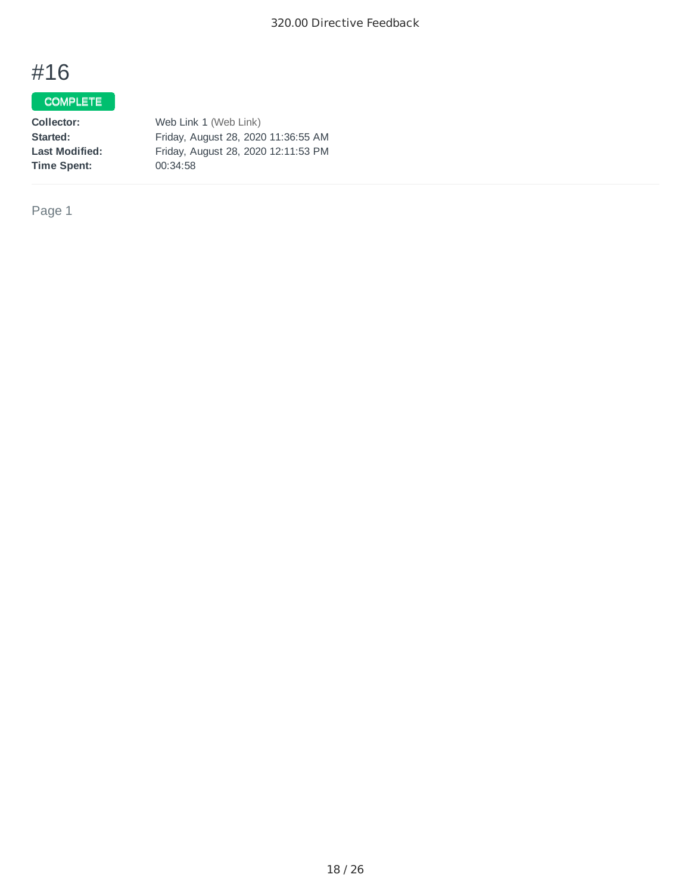# COMPLETE

| Web Link 1 (Web Link)               |
|-------------------------------------|
| Friday, August 28, 2020 11:36:55 AM |
| Friday, August 28, 2020 12:11:53 PM |
| 00:34:58                            |
|                                     |

Page 1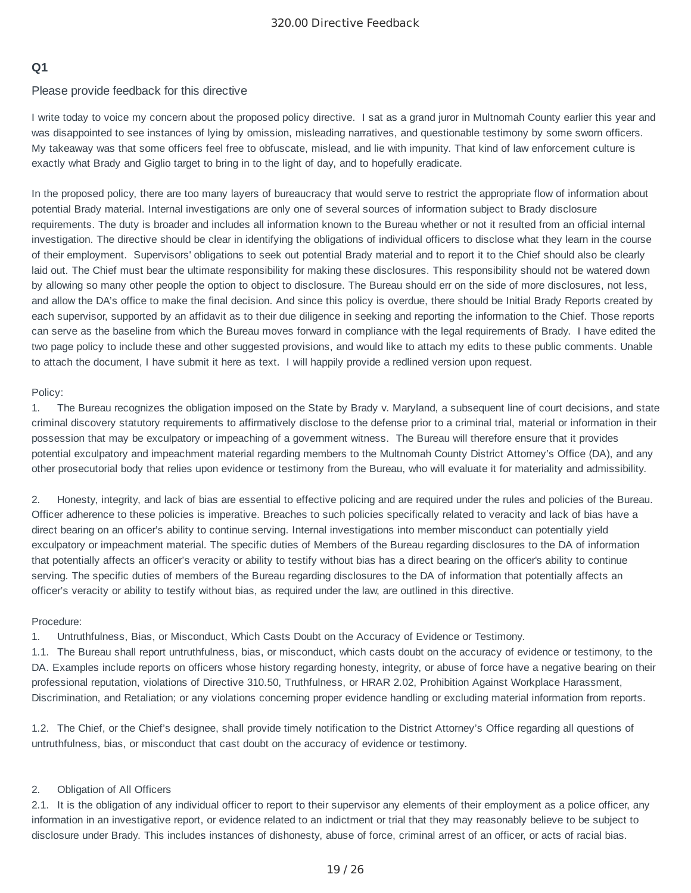### **Q1**

#### Please provide feedback for this directive

I write today to voice my concern about the proposed policy directive. I sat as a grand juror in Multnomah County earlier this year and was disappointed to see instances of lying by omission, misleading narratives, and questionable testimony by some sworn officers. My takeaway was that some officers feel free to obfuscate, mislead, and lie with impunity. That kind of law enforcement culture is exactly what Brady and Giglio target to bring in to the light of day, and to hopefully eradicate.

In the proposed policy, there are too many layers of bureaucracy that would serve to restrict the appropriate flow of information about potential Brady material. Internal investigations are only one of several sources of information subject to Brady disclosure requirements. The duty is broader and includes all information known to the Bureau whether or not it resulted from an official internal investigation. The directive should be clear in identifying the obligations of individual officers to disclose what they learn in the course of their employment. Supervisors' obligations to seek out potential Brady material and to report it to the Chief should also be clearly laid out. The Chief must bear the ultimate responsibility for making these disclosures. This responsibility should not be watered down by allowing so many other people the option to object to disclosure. The Bureau should err on the side of more disclosures, not less, and allow the DA's office to make the final decision. And since this policy is overdue, there should be Initial Brady Reports created by each supervisor, supported by an affidavit as to their due diligence in seeking and reporting the information to the Chief. Those reports can serve as the baseline from which the Bureau moves forward in compliance with the legal requirements of Brady. I have edited the two page policy to include these and other suggested provisions, and would like to attach my edits to these public comments. Unable to attach the document, I have submit it here as text. I will happily provide a redlined version upon request.

#### Policy:

1. The Bureau recognizes the obligation imposed on the State by Brady v. Maryland, a subsequent line of court decisions, and state criminal discovery statutory requirements to affirmatively disclose to the defense prior to a criminal trial, material or information in their possession that may be exculpatory or impeaching of a government witness. The Bureau will therefore ensure that it provides potential exculpatory and impeachment material regarding members to the Multnomah County District Attorney's Office (DA), and any other prosecutorial body that relies upon evidence or testimony from the Bureau, who will evaluate it for materiality and admissibility.

2. Honesty, integrity, and lack of bias are essential to effective policing and are required under the rules and policies of the Bureau. Officer adherence to these policies is imperative. Breaches to such policies specifically related to veracity and lack of bias have a direct bearing on an officer's ability to continue serving. Internal investigations into member misconduct can potentially yield exculpatory or impeachment material. The specific duties of Members of the Bureau regarding disclosures to the DA of information that potentially affects an officer's veracity or ability to testify without bias has a direct bearing on the officer's ability to continue serving. The specific duties of members of the Bureau regarding disclosures to the DA of information that potentially affects an officer's veracity or ability to testify without bias, as required under the law, are outlined in this directive.

#### Procedure:

1. Untruthfulness, Bias, or Misconduct, Which Casts Doubt on the Accuracy of Evidence or Testimony.

1.1. The Bureau shall report untruthfulness, bias, or misconduct, which casts doubt on the accuracy of evidence or testimony, to the DA. Examples include reports on officers whose history regarding honesty, integrity, or abuse of force have a negative bearing on their professional reputation, violations of Directive 310.50, Truthfulness, or HRAR 2.02, Prohibition Against Workplace Harassment, Discrimination, and Retaliation; or any violations concerning proper evidence handling or excluding material information from reports.

1.2. The Chief, or the Chief's designee, shall provide timely notification to the District Attorney's Office regarding all questions of untruthfulness, bias, or misconduct that cast doubt on the accuracy of evidence or testimony.

#### 2. Obligation of All Officers

2.1. It is the obligation of any individual officer to report to their supervisor any elements of their employment as a police officer, any information in an investigative report, or evidence related to an indictment or trial that they may reasonably believe to be subject to disclosure under Brady. This includes instances of dishonesty, abuse of force, criminal arrest of an officer, or acts of racial bias.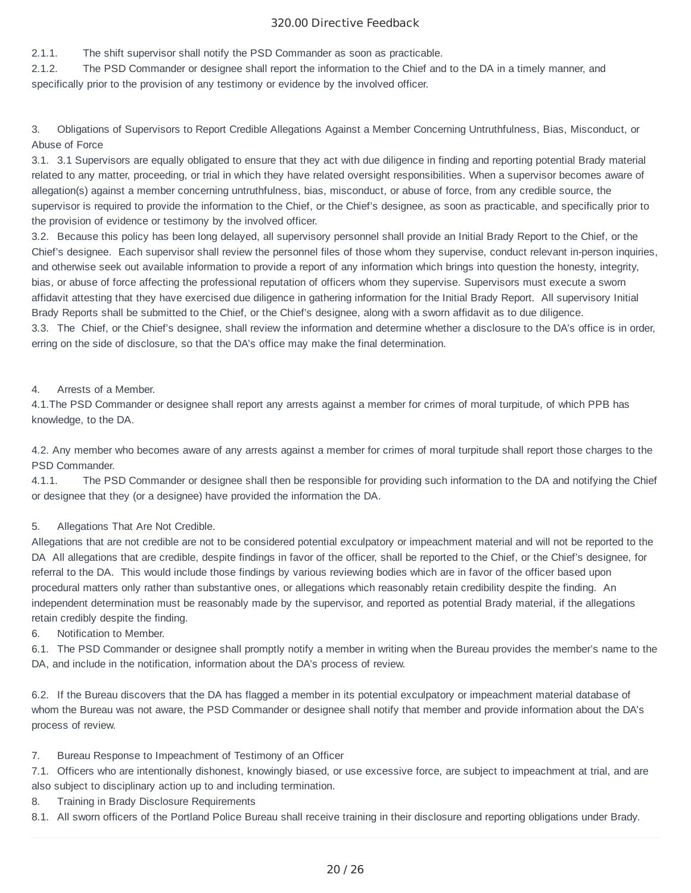### 320.00 Directive Feedback

2.1.1. The shift supervisor shall notify the PSD Commander as soon as practicable.

2.1.2. The PSD Commander or designee shall report the information to the Chief and to the DA in a timely manner, and specifically prior to the provision of any testimony or evidence by the involved officer.

3. Obligations of Supervisors to Report Credible Allegations Against a Member Concerning Untruthfulness, Bias, Misconduct, or Abuse of Force

3.1. 3.1 Supervisors are equally obligated to ensure that they act with due diligence in finding and reporting potential Brady material related to any matter, proceeding, or trial in which they have related oversight responsibilities. When a supervisor becomes aware of allegation(s) against a member concerning untruthfulness, bias, misconduct, or abuse of force, from any credible source, the supervisor is required to provide the information to the Chief, or the Chief's designee, as soon as practicable, and specifically prior to the provision of evidence or testimony by the involved officer.

3.2. Because this policy has been long delayed, all supervisory personnel shall provide an Initial Brady Report to the Chief, or the Chief's designee. Each supervisor shall review the personnel files of those whom they supervise, conduct relevant in-person inquiries, and otherwise seek out available information to provide a report of any information which brings into question the honesty, integrity, bias, or abuse of force affecting the professional reputation of officers whom they supervise. Supervisors must execute a sworn affidavit attesting that they have exercised due diligence in gathering information for the Initial Brady Report. All supervisory Initial Brady Reports shall be submitted to the Chief, or the Chief's designee, along with a sworn affidavit as to due diligence. 3.3. The Chief, or the Chief's designee, shall review the information and determine whether a disclosure to the DA's office is in order, erring on the side of disclosure, so that the DA's office may make the final determination.

#### 4. Arrests of a Member.

4.1.The PSD Commander or designee shall report any arrests against a member for crimes of moral turpitude, of which PPB has knowledge, to the DA.

4.2. Any member who becomes aware of any arrests against a member for crimes of moral turpitude shall report those charges to the PSD Commander.

4.1.1. The PSD Commander or designee shall then be responsible for providing such information to the DA and notifying the Chief or designee that they (or a designee) have provided the information the DA.

### 5. Allegations That Are Not Credible.

Allegations that are not credible are not to be considered potential exculpatory or impeachment material and will not be reported to the DA All allegations that are credible, despite findings in favor of the officer, shall be reported to the Chief, or the Chief's designee, for referral to the DA. This would include those findings by various reviewing bodies which are in favor of the officer based upon procedural matters only rather than substantive ones, or allegations which reasonably retain credibility despite the finding. An independent determination must be reasonably made by the supervisor, and reported as potential Brady material, if the allegations retain credibly despite the finding.

6. Notification to Member.

6.1. The PSD Commander or designee shall promptly notify a member in writing when the Bureau provides the member's name to the DA, and include in the notification, information about the DA's process of review.

6.2. If the Bureau discovers that the DA has flagged a member in its potential exculpatory or impeachment material database of whom the Bureau was not aware, the PSD Commander or designee shall notify that member and provide information about the DA's process of review.

#### 7. Bureau Response to Impeachment of Testimony of an Officer

7.1. Officers who are intentionally dishonest, knowingly biased, or use excessive force, are subject to impeachment at trial, and are also subject to disciplinary action up to and including termination.

8. Training in Brady Disclosure Requirements

8.1. All sworn officers of the Portland Police Bureau shall receive training in their disclosure and reporting obligations under Brady.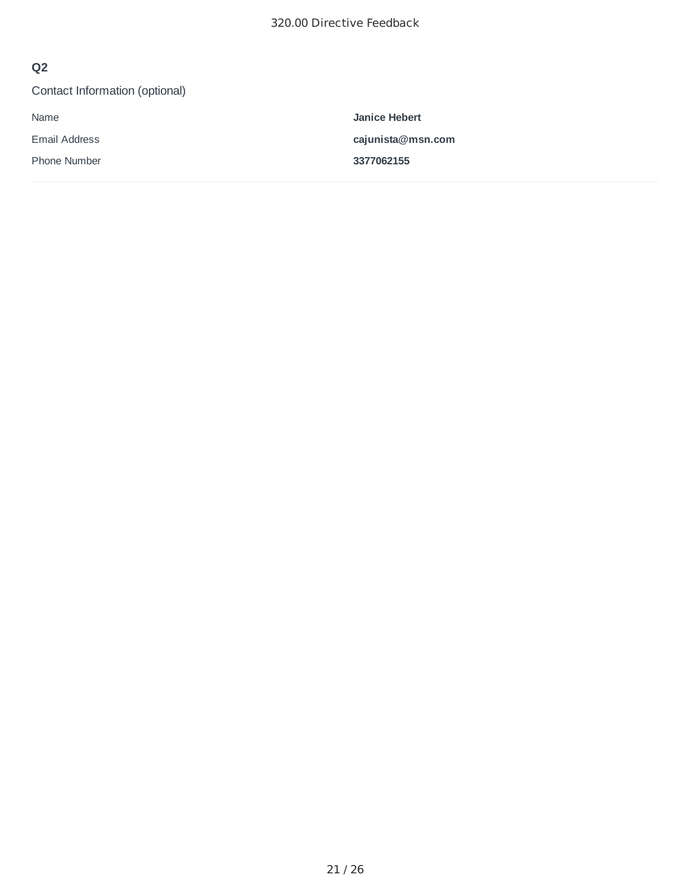| Q <sub>2</sub>                 |                      |
|--------------------------------|----------------------|
| Contact Information (optional) |                      |
| Name                           | <b>Janice Hebert</b> |
| Email Address                  | cajunista@msn.com    |
| Phone Number                   | 3377062155           |
|                                |                      |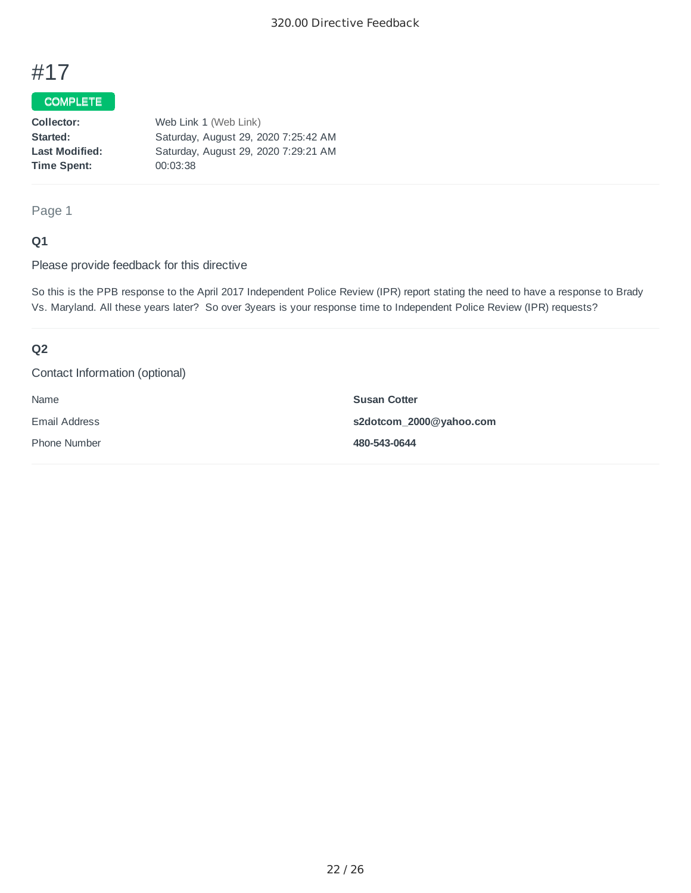## COMPLETE

| Collector:            | Web Link 1 (Web Link)                |
|-----------------------|--------------------------------------|
| Started:              | Saturday, August 29, 2020 7:25:42 AM |
| <b>Last Modified:</b> | Saturday, August 29, 2020 7:29:21 AM |
| <b>Time Spent:</b>    | 00:03:38                             |
|                       |                                      |

### Page 1

## **Q1**

Please provide feedback for this directive

So this is the PPB response to the April 2017 Independent Police Review (IPR) report stating the need to have a response to Brady Vs. Maryland. All these years later? So over 3years is your response time to Independent Police Review (IPR) requests?

# **Q2**

| Contact Information (optional) |                         |  |
|--------------------------------|-------------------------|--|
| Name                           | <b>Susan Cotter</b>     |  |
| Email Address                  | s2dotcom 2000@yahoo.com |  |
| <b>Phone Number</b>            | 480-543-0644            |  |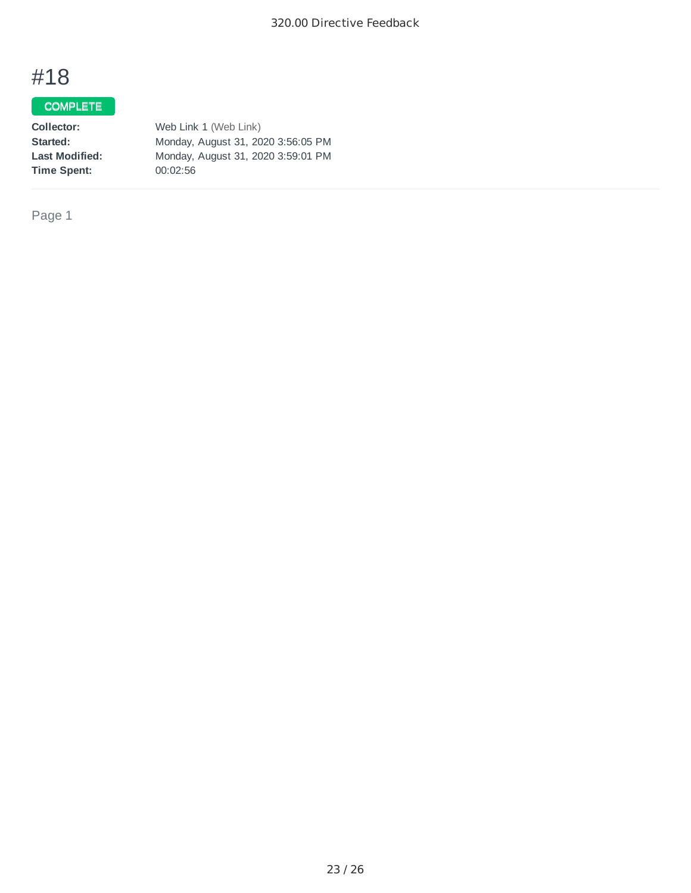## COMPLETE

**Collector:** Web Link 1 (Web Link) **Started:** Monday, August 31, 2020 3:56:05 PM<br> **Last Modified:** Monday, August 31, 2020 3:59:01 PM **Monday, August 31, 2020 3:59:01 PM Time Spent:** 00:02:56

Page 1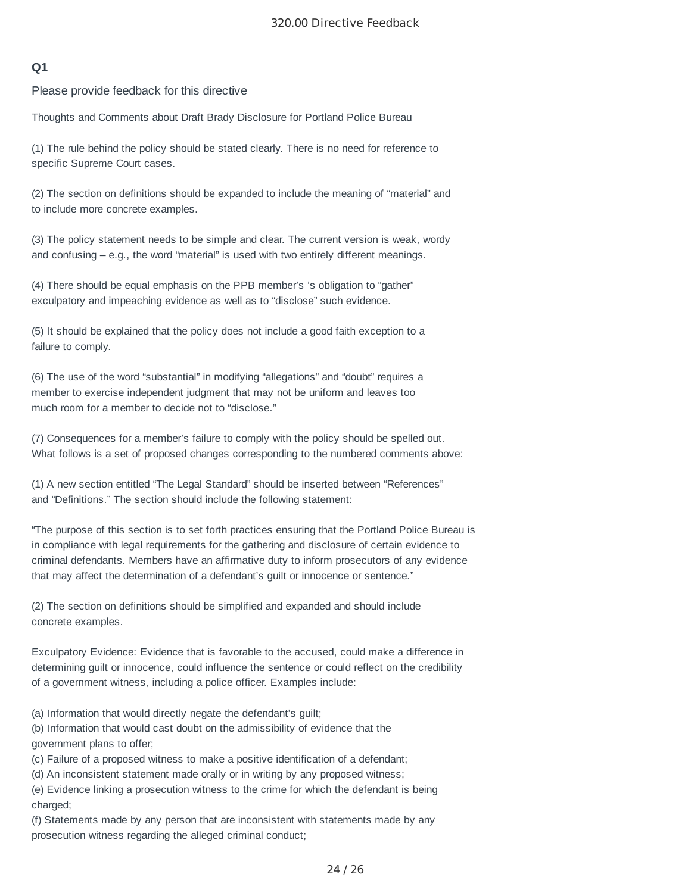### **Q1**

Please provide feedback for this directive

Thoughts and Comments about Draft Brady Disclosure for Portland Police Bureau

(1) The rule behind the policy should be stated clearly. There is no need for reference to specific Supreme Court cases.

(2) The section on definitions should be expanded to include the meaning of "material" and to include more concrete examples.

(3) The policy statement needs to be simple and clear. The current version is weak, wordy and confusing – e.g., the word "material" is used with two entirely different meanings.

(4) There should be equal emphasis on the PPB member's 's obligation to "gather" exculpatory and impeaching evidence as well as to "disclose" such evidence.

(5) It should be explained that the policy does not include a good faith exception to a failure to comply.

(6) The use of the word "substantial" in modifying "allegations" and "doubt" requires a member to exercise independent judgment that may not be uniform and leaves too much room for a member to decide not to "disclose."

(7) Consequences for a member's failure to comply with the policy should be spelled out. What follows is a set of proposed changes corresponding to the numbered comments above:

(1) A new section entitled "The Legal Standard" should be inserted between "References" and "Definitions." The section should include the following statement:

"The purpose of this section is to set forth practices ensuring that the Portland Police Bureau is in compliance with legal requirements for the gathering and disclosure of certain evidence to criminal defendants. Members have an affirmative duty to inform prosecutors of any evidence that may affect the determination of a defendant's guilt or innocence or sentence."

(2) The section on definitions should be simplified and expanded and should include concrete examples.

Exculpatory Evidence: Evidence that is favorable to the accused, could make a difference in determining guilt or innocence, could influence the sentence or could reflect on the credibility of a government witness, including a police officer. Examples include:

(a) Information that would directly negate the defendant's guilt;

(b) Information that would cast doubt on the admissibility of evidence that the government plans to offer;

(c) Failure of a proposed witness to make a positive identification of a defendant;

(d) An inconsistent statement made orally or in writing by any proposed witness;

(e) Evidence linking a prosecution witness to the crime for which the defendant is being charged;

(f) Statements made by any person that are inconsistent with statements made by any prosecution witness regarding the alleged criminal conduct;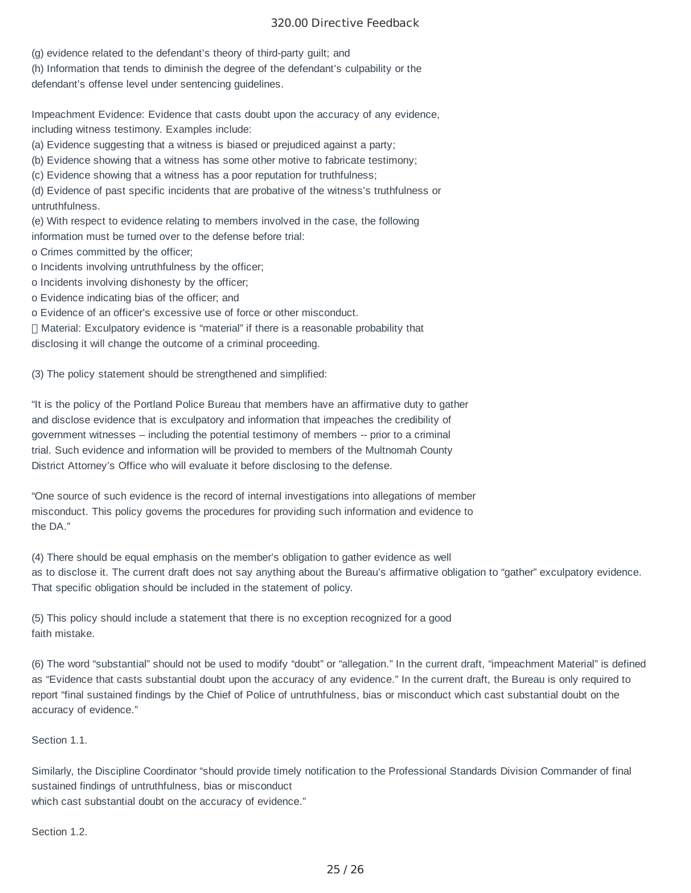#### 320.00 Directive Feedback

(g) evidence related to the defendant's theory of third-party guilt; and

(h) Information that tends to diminish the degree of the defendant's culpability or the defendant's offense level under sentencing guidelines.

Impeachment Evidence: Evidence that casts doubt upon the accuracy of any evidence, including witness testimony. Examples include:

(a) Evidence suggesting that a witness is biased or prejudiced against a party;

(b) Evidence showing that a witness has some other motive to fabricate testimony;

(c) Evidence showing that a witness has a poor reputation for truthfulness;

(d) Evidence of past specific incidents that are probative of the witness's truthfulness or untruthfulness.

(e) With respect to evidence relating to members involved in the case, the following

information must be turned over to the defense before trial:

o Crimes committed by the officer;

o Incidents involving untruthfulness by the officer;

o Incidents involving dishonesty by the officer;

o Evidence indicating bias of the officer; and

o Evidence of an officer's excessive use of force or other misconduct.

 Material: Exculpatory evidence is "material" if there is a reasonable probability that disclosing it will change the outcome of a criminal proceeding.

(3) The policy statement should be strengthened and simplified:

"It is the policy of the Portland Police Bureau that members have an affirmative duty to gather and disclose evidence that is exculpatory and information that impeaches the credibility of government witnesses – including the potential testimony of members -- prior to a criminal trial. Such evidence and information will be provided to members of the Multnomah County District Attorney's Office who will evaluate it before disclosing to the defense.

"One source of such evidence is the record of internal investigations into allegations of member misconduct. This policy governs the procedures for providing such information and evidence to the DA."

(4) There should be equal emphasis on the member's obligation to gather evidence as well as to disclose it. The current draft does not say anything about the Bureau's affirmative obligation to "gather" exculpatory evidence. That specific obligation should be included in the statement of policy.

(5) This policy should include a statement that there is no exception recognized for a good faith mistake.

(6) The word "substantial" should not be used to modify "doubt" or "allegation." In the current draft, "impeachment Material" is defined as "Evidence that casts substantial doubt upon the accuracy of any evidence." In the current draft, the Bureau is only required to report "final sustained findings by the Chief of Police of untruthfulness, bias or misconduct which cast substantial doubt on the accuracy of evidence."

Section 1.1.

Similarly, the Discipline Coordinator "should provide timely notification to the Professional Standards Division Commander of final sustained findings of untruthfulness, bias or misconduct which cast substantial doubt on the accuracy of evidence."

Section 1.2.